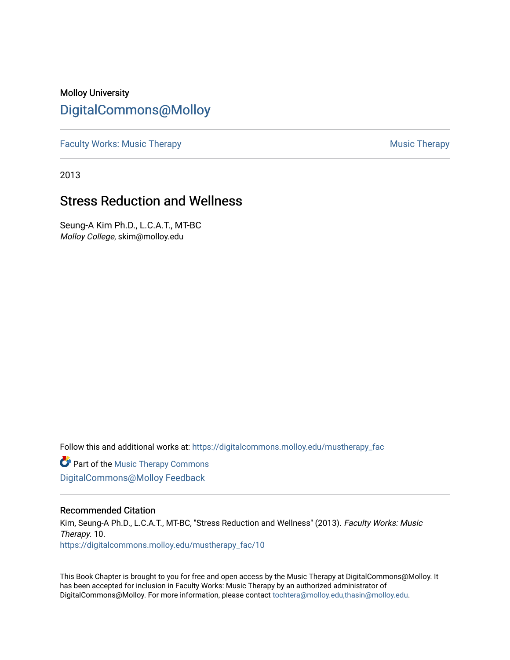# Molloy University [DigitalCommons@Molloy](https://digitalcommons.molloy.edu/)

[Faculty Works: Music Therapy](https://digitalcommons.molloy.edu/mustherapy_fac) **Music Therapy Music Therapy Music Therapy** 

2013

# Stress Reduction and Wellness

Seung-A Kim Ph.D., L.C.A.T., MT-BC Molloy College, skim@molloy.edu

Follow this and additional works at: [https://digitalcommons.molloy.edu/mustherapy\\_fac](https://digitalcommons.molloy.edu/mustherapy_fac?utm_source=digitalcommons.molloy.edu%2Fmustherapy_fac%2F10&utm_medium=PDF&utm_campaign=PDFCoverPages)

**Part of the [Music Therapy Commons](https://network.bepress.com/hgg/discipline/1248?utm_source=digitalcommons.molloy.edu%2Fmustherapy_fac%2F10&utm_medium=PDF&utm_campaign=PDFCoverPages)** [DigitalCommons@Molloy Feedback](https://molloy.libwizard.com/f/dcfeedback)

# Recommended Citation

Kim, Seung-A Ph.D., L.C.A.T., MT-BC, "Stress Reduction and Wellness" (2013). Faculty Works: Music Therapy. 10. [https://digitalcommons.molloy.edu/mustherapy\\_fac/10](https://digitalcommons.molloy.edu/mustherapy_fac/10?utm_source=digitalcommons.molloy.edu%2Fmustherapy_fac%2F10&utm_medium=PDF&utm_campaign=PDFCoverPages) 

This Book Chapter is brought to you for free and open access by the Music Therapy at DigitalCommons@Molloy. It has been accepted for inclusion in Faculty Works: Music Therapy by an authorized administrator of DigitalCommons@Molloy. For more information, please contact [tochtera@molloy.edu,thasin@molloy.edu.](mailto:tochtera@molloy.edu,thasin@molloy.edu)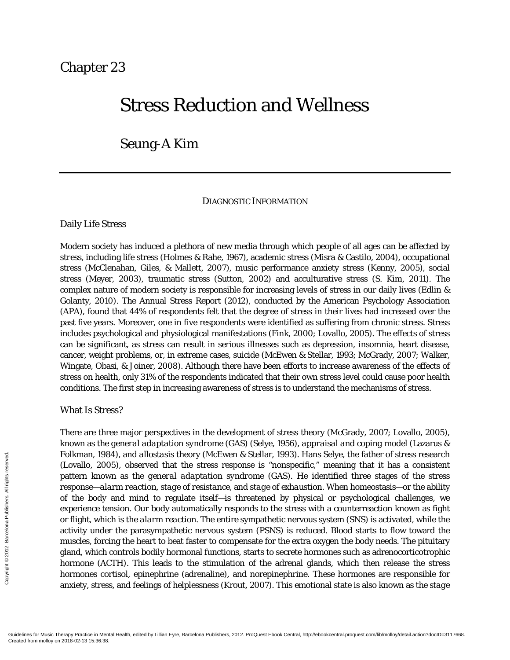# Chapter 23

# Stress Reduction and Wellness

# Seung-A Kim

# DIAGNOSTIC INFORMATION

#### Daily Life Stress

Modern society has induced a plethora of new media through which people of all ages can be affected by *stress,* including life stress (Holmes & Rahe, 1967), academic stress (Misra & Castilo, 2004), occupational stress (McClenahan, Giles, & Mallett, 2007), music performance anxiety stress (Kenny, 2005), social stress (Meyer, 2003), traumatic stress (Sutton, 2002) and acculturative stress (S. Kim, 2011). The complex nature of modern society is responsible for increasing levels of stress in our daily lives (Edlin & Golanty, 2010). The Annual Stress Report (2012), conducted by the American Psychology Association (APA), found that 44% of respondents felt that the degree of stress in their lives had increased over the past five years. Moreover, one in five respondents were identified as suffering from chronic stress. Stress includes psychological and physiological manifestations (Fink, 2000; Lovallo, 2005). The effects of stress can be significant, as stress can result in serious illnesses such as depression, insomnia, heart disease, cancer, weight problems, or, in extreme cases, suicide (McEwen & Stellar, 1993; McGrady, 2007; Walker, Wingate, Obasi, & Joiner, 2008). Although there have been efforts to increase awareness of the effects of stress on health, only 31% of the respondents indicated that their own stress level could cause poor health conditions. The first step in increasing awareness of stress is to understand the mechanisms of stress.

# What Is Stress?

There are three major perspectives in the development of stress theory (McGrady, 2007; Lovallo, 2005), known as the *general adaptation syndrome* (GAS) (Selye, 1956), *appraisal and coping* model (Lazarus & Folkman, 1984), and *allostasis* theory (McEwen & Stellar, 1993). Hans Selye, the father of stress research (Lovallo, 2005), observed that the stress response is "nonspecific," meaning that it has a consistent pattern known as the *general adaptation syndrome* (GAS). He identified three stages of the stress response—*alarm reaction, stage of resistance,* and *stage of exhaustion*. When homeostasis—or the ability of the body and mind to regulate itself—is threatened by physical or psychological challenges, we experience tension. Our body automatically responds to the stress with a counterreaction known as fight or flight, which is the *alarm reaction*. The entire sympathetic nervous system (SNS) is activated, while the activity under the parasympathetic nervous system (PSNS) is reduced. Blood starts to flow toward the muscles, forcing the heart to beat faster to compensate for the extra oxygen the body needs. The pituitary gland, which controls bodily hormonal functions, starts to secrete hormones such as adrenocorticotrophic hormone (ACTH). This leads to the stimulation of the adrenal glands, which then release the stress hormones cortisol, epinephrine (adrenaline), and norepinephrine. These hormones are responsible for anxiety, stress, and feelings of helplessness (Krout, 2007). This emotional state is also known as th*e stage*  Folkman, 198<br>
Created from mollow (Lovallo, 2000<br>
pattern know<br>
response—all<br>
of the body<br>
experience te<br>
or flight, which<br>
activity under<br>
muscles, forci<br>
gland, which<br>
hormone (AC<br>
hormones co<br>
anxiety, stres.<br>  $\frac{1}{20$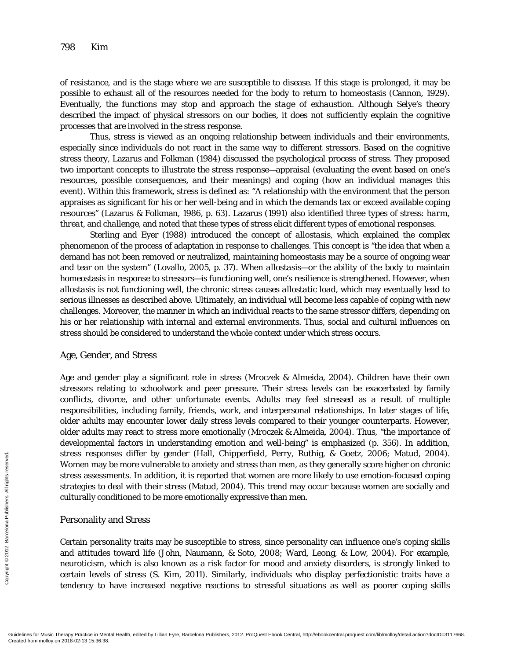*of resistance,* and is the stage where we are susceptible to disease. If this stage is prolonged, it may be possible to exhaust all of the resources needed for the body to return to homeostasis (Cannon, 1929). Eventually, the functions may stop and approach the *stage of exhaustion*. Although Selye's theory described the impact of physical stressors on our bodies, it does not sufficiently explain the cognitive processes that are involved in the stress response.

Thus, stress is viewed as an ongoing relationship between individuals and their environments, especially since individuals do not react in the same way to different stressors. Based on the cognitive stress theory, Lazarus and Folkman (1984) discussed the psychological process of stress. They proposed two important concepts to illustrate the stress response—appraisal (evaluating the event based on one's resources, possible consequences, and their meanings) and coping (how an individual manages this event). Within this framework, stress is defined as: "A relationship with the environment that the person appraises as significant for his or her well-being and in which the demands tax or exceed available coping resources" (Lazarus & Folkman, 1986, p. 63). Lazarus (1991) also identified three types of stress: *harm, threat,* and *challenge,* and noted that these types of stress elicit different types of emotional responses.

Sterling and Eyer (1988) introduced the concept of *allostasis,* which explained the complex phenomenon of the process of adaptation in response to challenges. This concept is "the idea that when a demand has not been removed or neutralized, maintaining homeostasis may be a source of ongoing wear and tear on the system" (Lovallo, 2005, p. 37). When *allostasis—*or the ability of the body to maintain homeostasis in response to stressors—is functioning well, one's resilience is strengthened. However, when *allostasis* is not functioning well, the chronic stress causes *allostatic load,* which may eventually lead to serious illnesses as described above. Ultimately, an individual will become less capable of coping with new challenges. Moreover, the manner in which an individual reacts to the same stressor differs, depending on his or her relationship with internal and external environments. Thus, social and cultural influences on stress should be considered to understand the whole context under which stress occurs.

#### Age, Gender, and Stress

Age and gender play a significant role in stress (Mroczek & Almeida, 2004). Children have their own stressors relating to schoolwork and peer pressure. Their stress levels can be exacerbated by family conflicts, divorce, and other unfortunate events. Adults may feel stressed as a result of multiple responsibilities, including family, friends, work, and interpersonal relationships. In later stages of life, older adults may encounter lower daily stress levels compared to their younger counterparts. However, older adults may react to stress more emotionally (Mroczek & Almeida, 2004). Thus, "the importance of developmental factors in understanding emotion and well-being" is emphasized (p. 356). In addition, stress responses differ by gender (Hall, Chipperfield, Perry, Ruthig, & Goetz, 2006; Matud, 2004). Women may be more vulnerable to anxiety and stress than men, as they generally score higher on chronic stress assessments. In addition, it is reported that women are more likely to use emotion-focused coping strategies to deal with their stress (Matud, 2004). This trend may occur because women are socially and culturally conditioned to be more emotionally expressive than men.

#### Personality and Stress

Certain personality traits may be susceptible to stress, since personality can influence one's coping skills and attitudes toward life (John, Naumann, & Soto, 2008; Ward, Leong, & Low, 2004). For example, neuroticism, which is also known as a risk factor for mood and anxiety disorders, is strongly linked to certain levels of stress (S. Kim, 2011). Similarly, individuals who display perfectionistic traits have a tendency to have increased negative reactions to stressful situations as well as poorer coping skills Stress respon<br>
Entertainmental Stress assessripting<br>
Strategies to (containperson culturally containperson culturally contain<br>
Entertainperson and attitudes<br>
meuroticism, certain levels<br>
tendency to<br>
Guidelines for Music T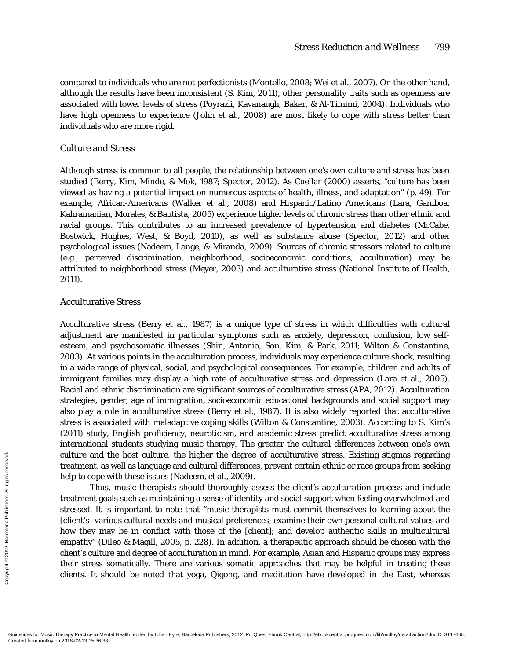compared to individuals who are not perfectionists (Montello, 2008; Wei et al., 2007). On the other hand, although the results have been inconsistent (S. Kim, 2011), other personality traits such as openness are associated with lower levels of stress (Poyrazli, Kavanaugh, Baker, & Al-Timimi, 2004). Individuals who have high *openness to experience* (John et al., 2008) are most likely to cope with stress better than individuals who are more rigid.

# Culture and Stress

Although stress is common to all people, the relationship between one's own culture and stress has been studied (Berry, Kim, Minde, & Mok, 1987; Spector, 2012). As Cuellar (2000) asserts, "culture has been viewed as having a potential impact on numerous aspects of health, illness, and adaptation" (p. 49). For example, African-Americans (Walker et al., 2008) and Hispanic/Latino Americans (Lara, Gamboa, Kahramanian, Morales, & Bautista, 2005) experience higher levels of chronic stress than other ethnic and racial groups. This contributes to an increased prevalence of hypertension and diabetes (McCabe, Bostwick, Hughes, West, & Boyd, 2010), as well as substance abuse (Spector, 2012) and other psychological issues (Nadeem, Lange, & Miranda, 2009). Sources of chronic stressors related to culture (e.g., perceived discrimination, neighborhood, socioeconomic conditions, acculturation) may be attributed to neighborhood stress (Meyer, 2003) and acculturative stress (National Institute of Health, 2011).

# Acculturative Stress

Acculturative stress (Berry et al., 1987) is a unique type of stress in which difficulties with cultural adjustment are manifested in particular symptoms such as anxiety, depression, confusion, low selfesteem, and psychosomatic illnesses (Shin, Antonio, Son, Kim, & Park, 2011; Wilton & Constantine, 2003). At various points in the acculturation process, individuals may experience culture shock, resulting in a wide range of physical, social, and psychological consequences. For example, children and adults of immigrant families may display a high rate of acculturative stress and depression (Lara et al., 2005). Racial and ethnic discrimination are significant sources of acculturative stress (APA, 2012). Acculturation strategies, gender, age of immigration, socioeconomic educational backgrounds and social support may also play a role in acculturative stress (Berry et al., 1987). It is also widely reported that acculturative stress is associated with maladaptive coping skills (Wilton & Constantine, 2003). According to S. Kim's (2011) study, English proficiency, neuroticism, and academic stress predict acculturative stress among international students studying music therapy. The greater the cultural differences between one's own culture and the host culture, the higher the degree of acculturative stress. Existing stigmas regarding treatment, as well as language and cultural differences, prevent certain ethnic or race groups from seeking help to cope with these issues (Nadeem, et al., 2009).

Thus, music therapists should thoroughly assess the client's acculturation process and include treatment goals such as maintaining a sense of identity and social support when feeling overwhelmed and stressed. It is important to note that "music therapists must commit themselves to learning about the [client's] various cultural needs and musical preferences; examine their own personal cultural values and how they may be in conflict with those of the [client]; and develop authentic skills in multicultural empathy" (Dileo & Magill, 2005, p. 228). In addition, a therapeutic approach should be chosen with the client's culture and degree of acculturation in mind. For example, Asian and Hispanic groups may express their stress somatically. There are various somatic approaches that may be helpful in treating these clients. It should be noted that yoga, Qigong, and meditation have developed in the East, whereas Exerces the protocope valuation of the protocope valuations of the protocope valuation of the protocope valuation of the protocope of the protocoperation of the protocoperation of the protocoperation of the control of the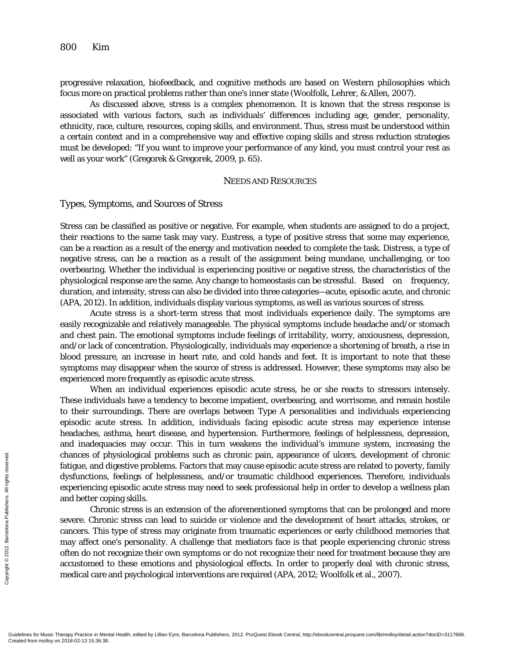progressive relaxation, biofeedback, and cognitive methods are based on Western philosophies which focus more on practical problems rather than one's inner state (Woolfolk, Lehrer, & Allen, 2007).

As discussed above, stress is a complex phenomenon. It is known that the stress response is associated with various factors, such as individuals' differences including age, gender, personality, ethnicity, race, culture, resources, coping skills, and environment. Thus, stress must be understood within a certain context and in a comprehensive way and effective coping skills and stress reduction strategies must be developed: "If you want to improve your performance of any kind, you must control your rest as well as your work" (Gregorek & Gregorek, 2009, p. 65).

#### NEEDS AND RESOURCES

#### Types, Symptoms, and Sources of Stress

Stress can be classified as positive or negative. For example, when students are assigned to do a project, their reactions to the same task may vary. *Eustress,* a type of positive stress that some may experience, can be a reaction as a result of the energy and motivation needed to complete the task. *Distress,* a type of negative stress, can be a reaction as a result of the assignment being mundane, unchallenging, or too overbearing. Whether the individual is experiencing positive or negative stress, the characteristics of the physiological response are the same. Any change to homeostasis can be stressful. Based on frequency, duration, and intensity, stress can also be divided into three categories—acute, episodic acute, and chronic (APA, 2012). In addition, individuals display various symptoms, as well as various sources of stress.

Acute stress is a short-term stress that most individuals experience daily. The symptoms are easily recognizable and relatively manageable. The physical symptoms include headache and/or stomach and chest pain. The emotional symptoms include feelings of irritability, worry, anxiousness, depression, and/or lack of concentration. Physiologically, individuals may experience a shortening of breath, a rise in blood pressure, an increase in heart rate, and cold hands and feet. It is important to note that these symptoms may disappear when the source of stress is addressed. However, these symptoms may also be experienced more frequently as episodic acute stress.

When an individual experiences episodic acute stress, he or she reacts to stressors intensely. These individuals have a tendency to become impatient, overbearing, and worrisome, and remain hostile to their surroundings. There are overlaps between Type A personalities and individuals experiencing episodic acute stress. In addition, individuals facing episodic acute stress may experience intense headaches, asthma, heart disease, and hypertension. Furthermore, feelings of helplessness, depression, and inadequacies may occur. This in turn weakens the individual's immune system, increasing the chances of physiological problems such as chronic pain, appearance of ulcers, development of chronic fatigue, and digestive problems. Factors that may cause episodic acute stress are related to poverty, family dysfunctions, feelings of helplessness, and/or traumatic childhood experiences. Therefore, individuals experiencing episodic acute stress may need to seek professional help in order to develop a wellness plan and better coping skills.

Chronic stress is an extension of the aforementioned symptoms that can be prolonged and more severe. Chronic stress can lead to suicide or violence and the development of heart attacks, strokes, or cancers. This type of stress may originate from traumatic experiences or early childhood memories that may affect one's personality. A challenge that mediators face is that people experiencing chronic stress often do not recognize their own symptoms or do not recognize their need for treatment because they are accustomed to these emotions and physiological effects. In order to properly deal with chronic stress, medical care and psychological interventions are required (APA, 2012; Woolfolk et al., 2007). Exercise the second of the distances of planet and distances of planet distances of the distance of the severe. Chrone cancers. This may affect or often do not a accustomed to medical care and  $\frac{2}{5}$  Guidelines for Mus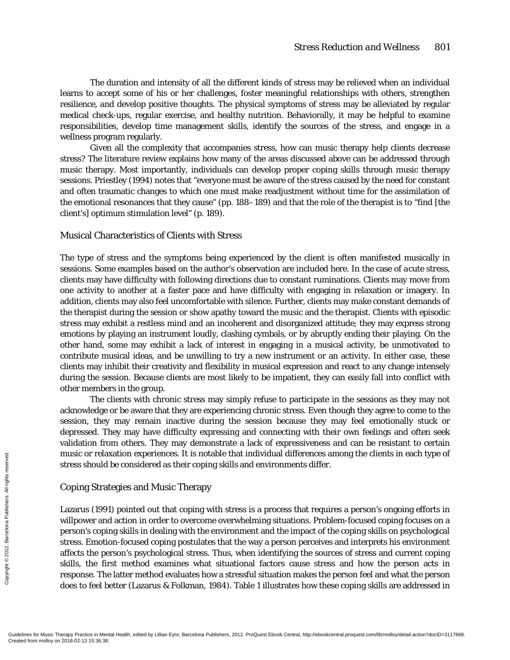The duration and intensity of all the different kinds of stress may be relieved when an individual learns to accept some of his or her challenges, foster meaningful relationships with others, strengthen resilience, and develop positive thoughts. The physical symptoms of stress may be alleviated by regular medical check-ups, regular exercise, and healthy nutrition. Behaviorally, it may be helpful to examine responsibilities, develop time management skills, identify the sources of the stress, and engage in a wellness program regularly.

Given all the complexity that accompanies stress, how can music therapy help clients decrease stress? The literature review explains how many of the areas discussed above can be addressed through music therapy. Most importantly, individuals can develop proper coping skills through music therapy sessions. Priestley (1994) notes that "everyone must be aware of the stress caused by the need for constant and often traumatic changes to which one must make readjustment without time for the assimilation of the emotional resonances that they cause" (pp. 188–189) and that the role of the therapist is to "find [the client's] optimum stimulation level" (p. 189).

# Musical Characteristics of Clients with Stress

The type of stress and the symptoms being experienced by the client is often manifested musically in sessions. Some examples based on the author's observation are included here. In the case of *acute stress,* clients may have difficulty with following directions due to constant ruminations. Clients may move from one activity to another at a faster pace and have difficulty with engaging in relaxation or imagery. In addition, clients may also feel uncomfortable with silence. Further, clients may make constant demands of the therapist during the session or show apathy toward the music and the therapist. Clients with *episodic stress* may exhibit a restless mind and an incoherent and disorganized attitude; they may express strong emotions by playing an instrument loudly, clashing cymbals, or by abruptly ending their playing. On the other hand, some may exhibit a lack of interest in engaging in a musical activity, be unmotivated to contribute musical ideas, and be unwilling to try a new instrument or an activity. In either case, these clients may inhibit their creativity and flexibility in musical expression and react to any change intensely during the session. Because clients are most likely to be impatient, they can easily fall into conflict with other members in the group.

The clients with *chronic stress* may simply refuse to participate in the sessions as they may not acknowledge or be aware that they are experiencing chronic stress. Even though they agree to come to the session, they may remain inactive during the session because they may feel emotionally stuck or depressed. They may have difficulty expressing and connecting with their own feelings and often seek validation from others. They may demonstrate a lack of expressiveness and can be resistant to certain music or relaxation experiences. It is notable that individual differences among the clients in each type of stress should be considered as their coping skills and environments differ.

#### Coping Strategies and Music Therapy

Lazarus (1991) pointed out that coping with stress is a process that requires a person's ongoing efforts in willpower and action in order to overcome overwhelming situations. Problem-focused coping focuses on a person's coping skills in dealing with the environment and the impact of the coping skills on psychological stress. Emotion-focused coping postulates that the way a person perceives and interprets his environment affects the person's psychological stress. Thus, when identifying the sources of stress and current coping skills, the first method examines what situational factors cause stress and how the person acts in response. The latter method evaluates how a stressful situation makes the person feel and what the person does to feel better (Lazarus & Folkman, 1984). Table 1 illustrates how these coping skills are addressed in MUSIC OF FELA<br>
STERS Should<br>
FOR STERS Should<br>
EVERT COPING STEAT<br>
Will power and<br>
person's copin<br>
stress. Emotic<br>
affects the pe<br>
skills, the fir<br>
response. The<br>
does to feel b<br>
Cuidelines for Music Therapy Practice in Me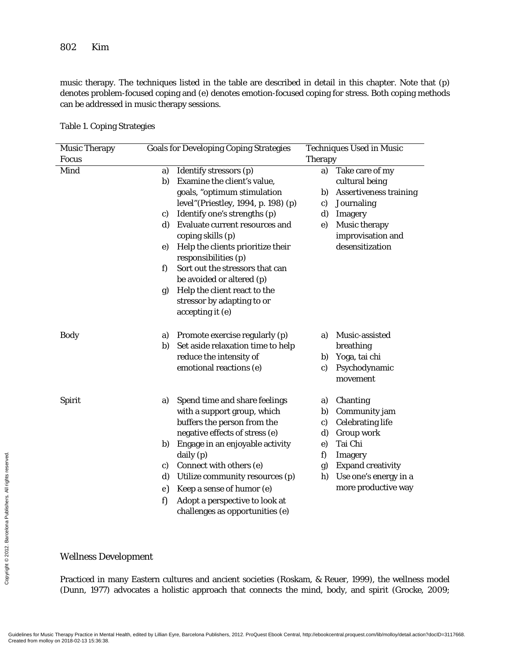music therapy. The techniques listed in the table are described in detail in this chapter. Note that (p) denotes problem-focused coping and (e) denotes emotion-focused coping for stress. Both coping methods can be addressed in music therapy sessions.

Table 1. Coping Strategies

|                                | <b>Music Therapy</b>                                                                           |            | <b>Goals for Developing Coping Strategies</b>                                                                                                                                                 | <b>Techniques Used in Music</b><br><b>Therapy</b> |                                      |
|--------------------------------|------------------------------------------------------------------------------------------------|------------|-----------------------------------------------------------------------------------------------------------------------------------------------------------------------------------------------|---------------------------------------------------|--------------------------------------|
|                                | <b>Focus</b>                                                                                   |            |                                                                                                                                                                                               |                                                   |                                      |
|                                | Mind                                                                                           | a)         | Identify stressors $\overline{(p)}$                                                                                                                                                           | a)                                                | Take care of my                      |
|                                |                                                                                                | b)         | Examine the client's value,                                                                                                                                                                   |                                                   | cultural being                       |
|                                |                                                                                                |            | goals, "optimum stimulation                                                                                                                                                                   | b)                                                | <b>Assertiveness training</b>        |
|                                |                                                                                                |            | level" (Priestley, 1994, p. 198) (p)                                                                                                                                                          | c)                                                | Journaling                           |
|                                |                                                                                                | C)         | Identify one's strengths (p)                                                                                                                                                                  | d)                                                | Imagery                              |
|                                |                                                                                                | d)         | Evaluate current resources and                                                                                                                                                                | e)                                                | <b>Music therapy</b>                 |
|                                |                                                                                                |            | coping skills (p)                                                                                                                                                                             |                                                   | improvisation and<br>desensitization |
|                                |                                                                                                | $\epsilon$ | Help the clients prioritize their<br>responsibilities (p)                                                                                                                                     |                                                   |                                      |
|                                |                                                                                                | f)         | Sort out the stressors that can                                                                                                                                                               |                                                   |                                      |
|                                |                                                                                                |            | be avoided or altered (p)                                                                                                                                                                     |                                                   |                                      |
|                                |                                                                                                | g)         | Help the client react to the                                                                                                                                                                  |                                                   |                                      |
|                                |                                                                                                |            | stressor by adapting to or                                                                                                                                                                    |                                                   |                                      |
|                                |                                                                                                |            | accepting it (e)                                                                                                                                                                              |                                                   |                                      |
|                                | <b>Body</b>                                                                                    | a)         | Promote exercise regularly (p)                                                                                                                                                                | a)                                                | Music-assisted                       |
|                                |                                                                                                | b)         | Set aside relaxation time to help                                                                                                                                                             |                                                   | breathing                            |
|                                |                                                                                                |            | reduce the intensity of                                                                                                                                                                       | b)                                                | Yoga, tai chi                        |
|                                |                                                                                                |            | emotional reactions (e)                                                                                                                                                                       | c)                                                | Psychodynamic                        |
|                                |                                                                                                |            |                                                                                                                                                                                               |                                                   | movement                             |
|                                | <b>Spirit</b>                                                                                  | a)         | Spend time and share feelings                                                                                                                                                                 | a)                                                | Chanting                             |
|                                |                                                                                                |            | with a support group, which                                                                                                                                                                   | b)                                                | Community jam                        |
|                                |                                                                                                |            | buffers the person from the                                                                                                                                                                   | c)                                                | <b>Celebrating life</b>              |
|                                |                                                                                                |            | negative effects of stress (e)                                                                                                                                                                | d)                                                | Group work                           |
|                                |                                                                                                | b)         | Engage in an enjoyable activity                                                                                                                                                               | e)                                                | Tai Chi                              |
|                                |                                                                                                |            | daily (p)                                                                                                                                                                                     | f)                                                | <b>Imagery</b>                       |
| iblishers. All rights reserved |                                                                                                | c)         | Connect with others (e)                                                                                                                                                                       | g)                                                | <b>Expand creativity</b>             |
|                                |                                                                                                | d)         | Utilize community resources (p)                                                                                                                                                               | h)                                                | Use one's energy in a                |
|                                |                                                                                                | e)         | Keep a sense of humor (e)                                                                                                                                                                     |                                                   | more productive way                  |
|                                |                                                                                                | f)         | Adopt a perspective to look at                                                                                                                                                                |                                                   |                                      |
|                                |                                                                                                |            | challenges as opportunities (e)                                                                                                                                                               |                                                   |                                      |
|                                |                                                                                                |            |                                                                                                                                                                                               |                                                   |                                      |
| Copyright © 2012. Barcelona Pu | <b>Wellness Development</b>                                                                    |            |                                                                                                                                                                                               |                                                   |                                      |
|                                | Practiced in many Eastern cultures and ancient societies (Roskam, & Reuer, 1999), the wellness |            |                                                                                                                                                                                               |                                                   |                                      |
|                                | (Dunn, 1977) advocates a holistic approach that connects the mind, body, and spirit (Grocke,   |            |                                                                                                                                                                                               |                                                   |                                      |
|                                |                                                                                                |            |                                                                                                                                                                                               |                                                   |                                      |
|                                | Created from molloy on 2018-02-13 15:36:38.                                                    |            | Guidelines for Music Therapy Practice in Mental Health, edited by Lillian Eyre, Barcelona Publishers, 2012. ProQuest Ebook Central, http://ebookcentral.proquest.com/lib/molloy/detail.action |                                                   |                                      |

# Wellness Development

Practiced in many Eastern cultures and ancient societies (Roskam, & Reuer, 1999), the wellness model (Dunn, 1977) advocates a holistic approach that connects the mind, body, and spirit (Grocke, 2009;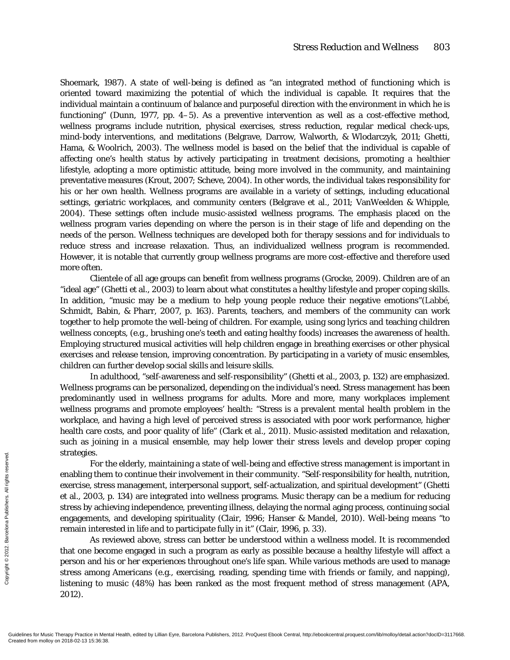Shoemark, 1987). A state of well-being is defined as "an integrated method of functioning which is oriented toward maximizing the potential of which the individual is capable. It requires that the individual maintain a continuum of balance and purposeful direction with the environment in which he is functioning" (Dunn, 1977, pp. 4–5). As a preventive intervention as well as a cost-effective method, wellness programs include nutrition, physical exercises, stress reduction, regular medical check-ups, mind-body interventions, and meditations (Belgrave, Darrow, Walworth, & Wlodarczyk, 2011; Ghetti, Hama, & Woolrich, 2003). The wellness model is based on the belief that the individual is capable of affecting one's health status by actively participating in treatment decisions, promoting a healthier lifestyle, adopting a more optimistic attitude, being more involved in the community, and maintaining preventative measures (Krout, 2007; Scheve, 2004). In other words, the individual takes responsibility for his or her own health. Wellness programs are available in a variety of settings, including educational settings, geriatric workplaces, and community centers (Belgrave et al., 2011; VanWeelden & Whipple, 2004). These settings often include music-assisted wellness programs. The emphasis placed on the wellness program varies depending on where the person is in their stage of life and depending on the needs of the person. Wellness techniques are developed both for therapy sessions and for individuals to reduce stress and increase relaxation. Thus, an individualized wellness program is recommended. However, it is notable that currently group wellness programs are more cost-effective and therefore used more often.

Clientele of all age groups can benefit from wellness programs (Grocke, 2009). Children are of an "ideal age" (Ghetti et al., 2003) to learn about what constitutes a healthy lifestyle and proper coping skills. In addition, "music may be a medium to help young people reduce their negative emotions"(Labbé, Schmidt, Babin, & Pharr, 2007, p. 163). Parents, teachers, and members of the community can work together to help promote the well-being of children. For example, using song lyrics and teaching children wellness concepts, (e.g., brushing one's teeth and eating healthy foods) increases the awareness of health. Employing structured musical activities will help children engage in breathing exercises or other physical exercises and release tension, improving concentration. By participating in a variety of music ensembles, children can further develop social skills and leisure skills.

In adulthood, "self-awareness and self-responsibility" (Ghetti et al., 2003, p. 132) are emphasized. Wellness programs can be personalized, depending on the individual's need. Stress management has been predominantly used in wellness programs for adults. More and more, many workplaces implement wellness programs and promote employees' health: "Stress is a prevalent mental health problem in the workplace, and having a high level of perceived stress is associated with poor work performance, higher health care costs, and poor quality of life" (Clark et al., 2011). Music-assisted meditation and relaxation, such as joining in a musical ensemble, may help lower their stress levels and develop proper coping strategies.

For the elderly, maintaining a state of well-being and effective stress management is important in enabling them to continue their involvement in their community. "Self-responsibility for health, nutrition, exercise, stress management, interpersonal support, self-actualization, and spiritual development" (Ghetti et al., 2003, p. 134) are integrated into wellness programs. Music therapy can be a medium for reducing stress by achieving independence, preventing illness, delaying the normal aging process, continuing social engagements, and developing spirituality (Clair, 1996; Hanser & Mandel, 2010). Well-being means "to remain interested in life and to participate fully in it" (Clair, 1996, p. 33). Strategies. For the exercise, stress<br>  $\frac{1}{2}$   $\frac{1}{2}$   $\frac{1}{2}$  exercise, stress<br>
et al., 2003, I<br>
stress by achi<br>
engagements, remain intere<br>  $\frac{2}{2}$  and  $\frac{2}{2}$  are that one becc<br>
person and h<br>
stress among<br>
lis

As reviewed above, stress can better be understood within a wellness model. It is recommended that one become engaged in such a program as early as possible because a healthy lifestyle will affect a person and his or her experiences throughout one's life span. While various methods are used to manage stress among Americans (e.g., exercising, reading, spending time with friends or family, and napping), listening to music (48%) has been ranked as the most frequent method of stress management (APA, 2012).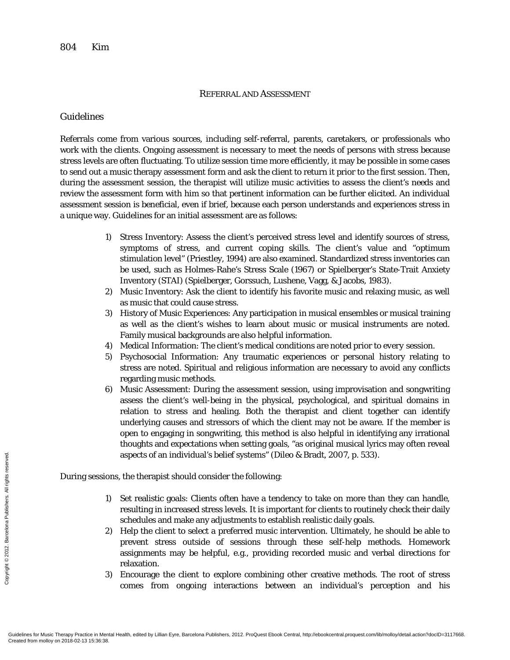## REFERRAL AND ASSESSMENT

# Guidelines

Referrals come from various sources, including self-referral, parents, caretakers, or professionals who work with the clients. Ongoing assessment is necessary to meet the needs of persons with stress because stress levels are often fluctuating. To utilize session time more efficiently, it may be possible in some cases to send out a music therapy assessment form and ask the client to return it prior to the first session. Then, during the assessment session, the therapist will utilize music activities to assess the client's needs and review the assessment form with him so that pertinent information can be further elicited. An individual assessment session is beneficial, even if brief, because each person understands and experiences stress in a unique way. Guidelines for an initial assessment are as follows:

- 1) Stress Inventory: Assess the client's perceived stress level and identify sources of stress, symptoms of stress, and current coping skills. The client's value and "optimum stimulation level" (Priestley, 1994) are also examined. Standardized stress inventories can be used, such as Holmes-Rahe's Stress Scale (1967) or Spielberger's State-Trait Anxiety Inventory (STAI) (Spielberger, Gorssuch, Lushene, Vagg, & Jacobs, 1983).
- 2) Music Inventory: Ask the client to identify his favorite music and relaxing music, as well as music that could cause stress.
- 3) History of Music Experiences: Any participation in musical ensembles or musical training as well as the client's wishes to learn about music or musical instruments are noted. Family musical backgrounds are also helpful information.
- 4) Medical Information: The client's medical conditions are noted prior to *every* session.
- 5) Psychosocial Information: Any traumatic experiences or personal history relating to stress are noted. Spiritual and religious information are necessary to avoid any conflicts regarding music methods.
- 6) Music Assessment: During the assessment session, using improvisation and songwriting assess the client's well-being in the physical, psychological, and spiritual domains in relation to stress and healing. Both the therapist and client together can identify underlying causes and stressors of which the client may not be aware. If the member is open to engaging in songwriting, this method is also helpful in identifying any irrational thoughts and expectations when setting goals, "as original musical lyrics may often reveal aspects of an individual's belief systems" (Dileo & Bradt, 2007, p. 533).

During sessions, the therapist should consider the following:

- 1) Set realistic goals: Clients often have a tendency to take on more than they can handle, resulting in increased stress levels. It is important for clients to routinely check their daily schedules and make any adjustments to establish realistic daily goals.
- 2) Help the client to select a preferred music intervention. Ultimately, he should be able to prevent stress outside of sessions through these self-help methods. Homework assignments may be helpful, e.g., providing recorded music and verbal directions for relaxation.
- 3) Encourage the client to explore combining other creative methods. The root of stress comes from ongoing interactions between an individual's perception and his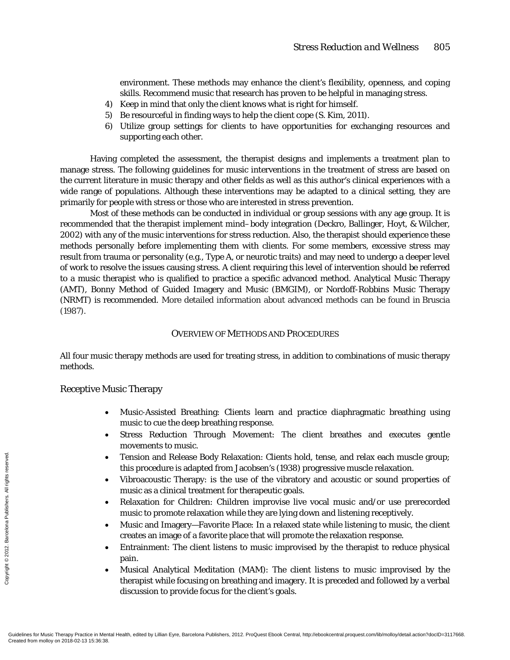environment. These methods may enhance the client's flexibility, openness, and coping skills. Recommend music that research has proven to be helpful in managing stress.

- 4) Keep in mind that only the client knows what is right for himself.
- 5) Be resourceful in finding ways to help the client cope (S. Kim, 2011).
- 6) Utilize group settings for clients to have opportunities for exchanging resources and supporting each other.

Having completed the assessment, the therapist designs and implements a treatment plan to manage stress. The following guidelines for music interventions in the treatment of stress are based on the current literature in music therapy and other fields as well as this author's clinical experiences with a wide range of populations. Although these interventions may be adapted to a clinical setting, they are primarily for people with stress or those who are interested in stress prevention.

Most of these methods can be conducted in individual or group sessions with any age group. It is recommended that the therapist implement mind–body integration (Deckro, Ballinger, Hoyt, & Wilcher, 2002) with any of the music interventions for stress reduction. Also, the therapist should experience these methods personally before implementing them with clients. For some members, excessive stress may result from trauma or personality (e.g., Type A, or neurotic traits) and may need to undergo a deeper level of work to resolve the issues causing stress. A client requiring this level of intervention should be referred to a music therapist who is qualified to practice a specific advanced method. Analytical Music Therapy (AMT), Bonny Method of Guided Imagery and Music (BMGIM), or Nordoff-Robbins Music Therapy (NRMT) is recommended. More detailed information about advanced methods can be found in Bruscia (1987).

## OVERVIEW OF METHODS AND PROCEDURES

All four music therapy methods are used for treating stress, in addition to combinations of music therapy methods.

## Receptive Music Therapy

- Music-Assisted Breathing: Clients learn and practice diaphragmatic breathing using music to cue the deep breathing response.
- Stress Reduction Through Movement: The client breathes and executes gentle movements to music.
- Tension and Release Body Relaxation: Clients hold, tense, and relax each muscle group; this procedure is adapted from Jacobsen's (1938) progressive muscle relaxation.
- Vibroacoustic Therapy: is the use of the vibratory and acoustic or sound properties of music as a clinical treatment for therapeutic goals.
- Relaxation for Children: Children improvise live vocal music and/or use prerecorded music to promote relaxation while they are lying down and listening receptively.
- Music and Imagery—Favorite Place: In a relaxed state while listening to music, the client creates an image of a favorite place that will promote the relaxation response.
- Entrainment: The client listens to music improvised by the therapist to reduce physical pain.
- Musical Analytical Meditation (MAM): The client listens to music improvised by the therapist while focusing on breathing and imagery. It is preceded and followed by a verbal discussion to provide focus for the client's goals.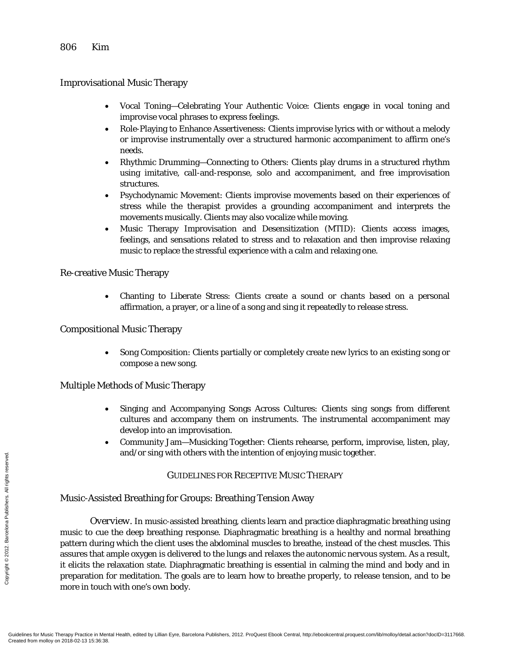Improvisational Music Therapy

- Vocal Toning—Celebrating Your Authentic Voice: Clients engage in vocal toning and improvise vocal phrases to express feelings.
- Role-Playing to Enhance Assertiveness: Clients improvise lyrics with or without a melody or improvise instrumentally over a structured harmonic accompaniment to affirm one's needs.
- Rhythmic Drumming—Connecting to Others: Clients play drums in a structured rhythm using imitative, call-and-response, solo and accompaniment, and free improvisation structures.
- Psychodynamic Movement: Clients improvise movements based on their experiences of stress while the therapist provides a grounding accompaniment and interprets the movements musically. Clients may also vocalize while moving.
- Music Therapy Improvisation and Desensitization (MTID): Clients access images, feelings, and sensations related to stress and to relaxation and then improvise relaxing music to replace the stressful experience with a calm and relaxing one.

Re-creative Music Therapy

• Chanting to Liberate Stress: Clients create a sound or chants based on a personal affirmation, a prayer, or a line of a song and sing it repeatedly to release stress.

# Compositional Music Therapy

• Song Composition: Clients partially or completely create new lyrics to an existing song or compose a new song.

# Multiple Methods of Music Therapy

- Singing and Accompanying Songs Across Cultures: Clients sing songs from different cultures and accompany them on instruments. The instrumental accompaniment may develop into an improvisation.
- Community Jam—Musicking Together: Clients rehearse, perform, improvise, listen, play, and/or sing with others with the intention of enjoying music together.

# GUIDELINES FOR RECEPTIVE MUSIC THERAPY

# Music-Assisted Breathing for Groups: Breathing Tension Away

*Overview.* In music-assisted breathing, clients learn and practice diaphragmatic breathing using music to cue the deep breathing response. Diaphragmatic breathing is a healthy and normal breathing pattern during which the client uses the abdominal muscles to breathe, instead of the chest muscles. This assures that ample oxygen is delivered to the lungs and relaxes the autonomic nervous system. As a result, it elicits the relaxation state. Diaphragmatic breathing is essential in calming the mind and body and in preparation for meditation. The goals are to learn how to breathe properly, to release tension, and to be more in touch with one's own body. Execution Music-Assis<br>  $\frac{1}{2}$ <br>  $\frac{2}{3}$ <br>  $\frac{2}{3}$ <br>  $\frac{2}{3}$ <br>  $\frac{2}{3}$ <br>  $\frac{2}{3}$ <br>  $\frac{2}{3}$ <br>  $\frac{2}{3}$ <br>  $\frac{2}{3}$ <br>  $\frac{2}{3}$ <br>  $\frac{2}{3}$ <br>  $\frac{2}{3}$ <br>  $\frac{2}{3}$ <br>  $\frac{2}{3}$ <br>  $\frac{2}{3}$ <br>  $\frac{2}{3}$ <br>  $\frac{2}{3}$ <br>  $\frac{2}{3}$ <br>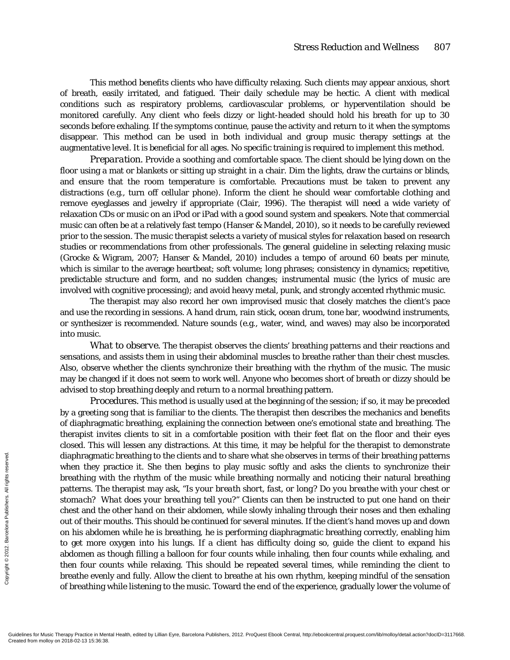This method benefits clients who have difficulty relaxing. Such clients may appear anxious, short of breath, easily irritated, and fatigued. Their daily schedule may be hectic. A client with medical conditions such as respiratory problems, cardiovascular problems, or hyperventilation should be monitored carefully. Any client who feels dizzy or light-headed should hold his breath for up to 30 seconds before exhaling. If the symptoms continue, pause the activity and return to it when the symptoms disappear. This method can be used in both individual and group music therapy settings at the augmentative level. It is beneficial for all ages. No specific training is required to implement this method.

*Preparation.* Provide a soothing and comfortable space. The client should be lying down on the floor using a mat or blankets or sitting up straight in a chair. Dim the lights, draw the curtains or blinds, and ensure that the room temperature is comfortable. Precautions must be taken to prevent any distractions (e.g., turn off cellular phone). Inform the client he should wear comfortable clothing and remove eyeglasses and jewelry if appropriate (Clair, 1996). The therapist will need a wide variety of relaxation CDs or music on an iPod or iPad with a good sound system and speakers. Note that commercial music can often be at a relatively fast tempo (Hanser & Mandel, 2010), so it needs to be carefully reviewed prior to the session. The music therapist selects a variety of musical styles for relaxation based on research studies or recommendations from other professionals. The general guideline in selecting relaxing music (Grocke & Wigram, 2007; Hanser & Mandel, 2010) includes a tempo of around 60 beats per minute, which is similar to the average heartbeat; soft volume; long phrases; consistency in dynamics; repetitive, predictable structure and form, and no sudden changes; instrumental music (the lyrics of music are involved with cognitive processing); and avoid heavy metal, punk, and strongly accented rhythmic music.

The therapist may also record her own improvised music that closely matches the client's pace and use the recording in sessions. A hand drum, rain stick, ocean drum, tone bar, woodwind instruments, or synthesizer is recommended. Nature sounds (e.g., water, wind, and waves) may also be incorporated into music.

*What to observe.* The therapist observes the clients' breathing patterns and their reactions and sensations, and assists them in using their abdominal muscles to breathe rather than their chest muscles. Also, observe whether the clients synchronize their breathing with the rhythm of the music. The music may be changed if it does not seem to work well. Anyone who becomes short of breath or dizzy should be advised to stop breathing deeply and return to a normal breathing pattern.

*Procedures.* This method is usually used at the beginning of the session; if so, it may be preceded by a greeting song that is familiar to the clients. The therapist then describes the mechanics and benefits of diaphragmatic breathing, explaining the connection between one's emotional state and breathing. The therapist invites clients to sit in a comfortable position with their feet flat on the floor and their eyes closed. This will lessen any distractions. At this time, it may be helpful for the therapist to demonstrate diaphragmatic breathing to the clients and to share what she observes in terms of their breathing patterns when they practice it. She then begins to play music softly and asks the clients to synchronize their breathing with the rhythm of the music while breathing normally and noticing their natural breathing patterns. The therapist may ask, "*Is your breath short, fast, or long? Do you breathe with your chest or stomach? What does your breathing tell you?*" Clients can then be instructed to put one hand on their chest and the other hand on their abdomen, while slowly inhaling through their noses and then exhaling out of their mouths. This should be continued for several minutes. If the client's hand moves up and down on his abdomen while he is breathing, he is performing diaphragmatic breathing correctly, enabling him to get more oxygen into his lungs. If a client has difficulty doing so, guide the client to expand his abdomen as though filling a balloon for four counts while inhaling, then four counts while exhaling, and then four counts while relaxing. This should be repeated several times, while reminding the client to breathe evenly and fully. Allow the client to breathe at his own rhythm, keeping mindful of the sensation of breathing while listening to the music. Toward the end of the experience, gradually lower the volume of Exercise<br>
Exercise the proportion of the proportions. The<br>
Sergence of their monomics of their monomics and the<br>
Sergence of the post of the proceed.<br>
Sergence and the post more abdomen as then four coupled the even of bre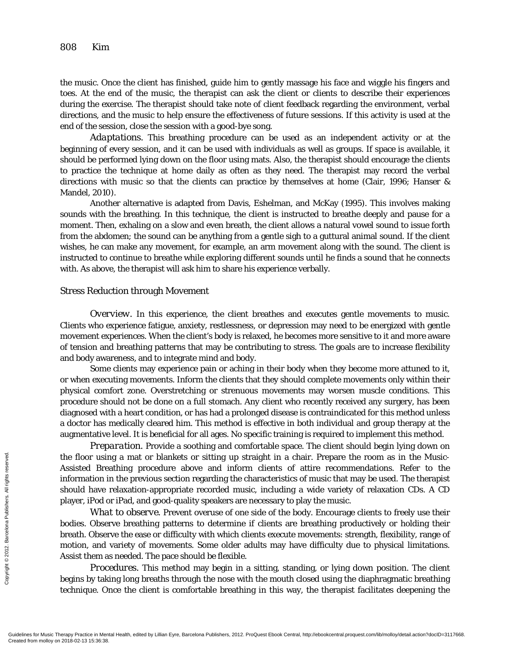the music. Once the client has finished, guide him to gently massage his face and wiggle his fingers and toes. At the end of the music, the therapist can ask the client or clients to describe their experiences during the exercise. The therapist should take note of client feedback regarding the environment, verbal directions, and the music to help ensure the effectiveness of future sessions. If this activity is used at the end of the session, close the session with a good-bye song.

*Adaptations.* This breathing procedure can be used as an independent activity or at the beginning of every session, and it can be used with individuals as well as groups. If space is available, it should be performed lying down on the floor using mats. Also, the therapist should encourage the clients to practice the technique at home daily as often as they need. The therapist may record the verbal directions with music so that the clients can practice by themselves at home (Clair, 1996; Hanser & Mandel, 2010).

Another alternative is adapted from Davis, Eshelman, and McKay (1995). This involves making sounds with the breathing. In this technique, the client is instructed to breathe deeply and pause for a moment. Then, exhaling on a slow and even breath, the client allows a natural vowel sound to issue forth from the abdomen; the sound can be anything from a gentle sigh to a guttural animal sound. If the client wishes, he can make any movement, for example, an arm movement along with the sound. The client is instructed to continue to breathe while exploring different sounds until he finds a sound that he connects with. As above, the therapist will ask him to share his experience verbally.

#### Stress Reduction through Movement

*Overview.* In this experience, the client breathes and executes gentle movements to music. Clients who experience fatigue, anxiety, restlessness, or depression may need to be energized with gentle movement experiences. When the client's body is relaxed, he becomes more sensitive to it and more aware of tension and breathing patterns that may be contributing to stress. The goals are to increase flexibility and body awareness, and to integrate mind and body.

Some clients may experience pain or aching in their body when they become more attuned to it, or when executing movements. Inform the clients that they should complete movements only within their physical comfort zone. Overstretching or strenuous movements may worsen muscle conditions. This procedure should not be done on a full stomach. Any client who recently received any surgery, has been diagnosed with a heart condition, or has had a prolonged disease is contraindicated for this method unless a doctor has medically cleared him. This method is effective in both individual and group therapy at the augmentative level. It is beneficial for all ages. No specific training is required to implement this method.

*Preparation.* Provide a soothing and comfortable space. The client should begin lying down on the floor using a mat or blankets or sitting up straight in a chair. Prepare the room as in the Music-Assisted Breathing procedure above and inform clients of attire recommendations. Refer to the information in the previous section regarding the characteristics of music that may be used. The therapist should have relaxation-appropriate recorded music, including a wide variety of relaxation CDs. A CD player, iPod or iPad, and good-quality speakers are necessary to play the music.

*What to observe.* Prevent overuse of one side of the body. Encourage clients to freely use their bodies. Observe breathing patterns to determine if clients are breathing productively or holding their breath. Observe the ease or difficulty with which clients execute movements: strength, flexibility, range of motion, and variety of movements. Some older adults may have difficulty due to physical limitations. Assist them as needed. The pace should be flexible. Fraction Mold States of Music Therapy Practice in Men<br>
Gradients for Music Therapy Practice in Men<br>
Created from molloy on 2018-02-13 15:36:38.<br>
Created from molloy on 2018-02-13 15:36:38.

*Procedures.* This method may begin in a sitting, standing, or lying down position. The client begins by taking long breaths through the nose with the mouth closed using the diaphragmatic breathing technique. Once the client is comfortable breathing in this way, the therapist facilitates deepening the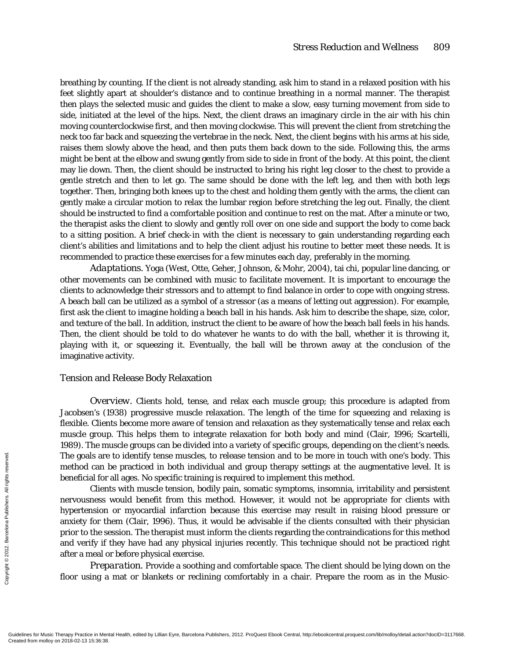breathing by counting. If the client is not already standing, ask him to stand in a relaxed position with his feet slightly apart at shoulder's distance and to continue breathing in a normal manner. The therapist then plays the selected music and guides the client to make a slow, easy turning movement from side to side, initiated at the level of the hips. Next, the client draws an imaginary circle in the air with his chin moving counterclockwise first, and then moving clockwise. This will prevent the client from stretching the neck too far back and squeezing the vertebrae in the neck. Next, the client begins with his arms at his side, raises them slowly above the head, and then puts them back down to the side. Following this, the arms might be bent at the elbow and swung gently from side to side in front of the body*.* At this point, the client may lie down. Then, the client should be instructed to bring his right leg closer to the chest to provide a gentle stretch and then to let go. The same should be done with the left leg, and then with both legs together. Then, bringing both knees up to the chest and holding them gently with the arms, the client can gently make a circular motion to relax the lumbar region before stretching the leg out. Finally, the client should be instructed to find a comfortable position and continue to rest on the mat. After a minute or two, the therapist asks the client to slowly and gently roll over on one side and support the body to come back to a sitting position. A brief check-in with the client is necessary to gain understanding regarding each client's abilities and limitations and to help the client adjust his routine to better meet these needs. It is recommended to practice these exercises for a few minutes each day, preferably in the morning.

*Adaptations.* Yoga (West, Otte, Geher, Johnson, & Mohr, 2004), tai chi, popular line dancing, or other movements can be combined with music to facilitate movement. It is important to encourage the clients to acknowledge their stressors and to attempt to find balance in order to cope with ongoing stress. A beach ball can be utilized as a symbol of a stressor (as a means of letting out aggression). For example, first ask the client to imagine holding a beach ball in his hands. Ask him to describe the shape, size, color, and texture of the ball. In addition, instruct the client to be aware of how the beach ball feels in his hands. Then, the client should be told to do whatever he wants to do with the ball, whether it is throwing it, playing with it, or squeezing it. Eventually, the ball will be thrown away at the conclusion of the imaginative activity.

#### Tension and Release Body Relaxation

*Overview.* Clients hold, tense, and relax each muscle group; this procedure is adapted from Jacobsen's (1938) progressive muscle relaxation. The length of the time for squeezing and relaxing is flexible. Clients become more aware of tension and relaxation as they systematically tense and relax each muscle group. This helps them to integrate relaxation for both body and mind (Clair, 1996; Scartelli, 1989). The muscle groups can be divided into a variety of specific groups, depending on the client's needs. The goals are to identify tense muscles, to release tension and to be more in touch with one's body. This method can be practiced in both individual and group therapy settings at the augmentative level. It is beneficial for all ages. No specific training is required to implement this method.

Clients with muscle tension, bodily pain, somatic symptoms, insomnia, irritability and persistent nervousness would benefit from this method. However, it would not be appropriate for clients with hypertension or myocardial infarction because this exercise may result in raising blood pressure or anxiety for them (Clair, 1996). Thus, it would be advisable if the clients consulted with their physician prior to the session. The therapist must inform the clients regarding the contraindications for this method and verify if they have had any physical injuries recently. This technique should not be practiced right after a meal or before physical exercise. The goals are<br>
the method can l<br>
beneficial for<br>
Clien<br>
nervousness<br>
hypertension<br>
anxiety for the served and verify if<br>
prior to the sea<br>
and verify if<br>
after a meal of<br>  $\frac{1}{2}$ <br>  $\frac{1}{2}$ <br>  $\frac{1}{2}$ <br>  $\frac{1}{2}$ <br>  $\frac{1}{$ 

*Preparation.* Provide a soothing and comfortable space. The client should be lying down on the floor using a mat or blankets or reclining comfortably in a chair. Prepare the room as in the Music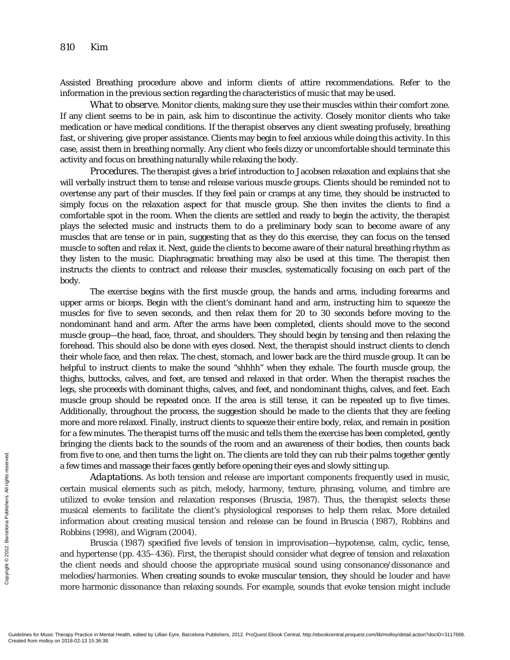Assisted Breathing procedure above and inform clients of attire recommendations. Refer to the information in the previous section regarding the characteristics of music that may be used.

*What to observe.* Monitor clients, making sure they use their muscles within their comfort zone. If any client seems to be in pain, ask him to discontinue the activity. Closely monitor clients who take medication or have medical conditions. If the therapist observes any client sweating profusely, breathing fast, or shivering, give proper assistance. Clients may begin to feel anxious while doing this activity. In this case, assist them in breathing normally. Any client who feels dizzy or uncomfortable should terminate this activity and focus on breathing naturally while relaxing the body.

*Procedures.* The therapist gives a brief introduction to Jacobsen relaxation and explains that she will verbally instruct them to tense and release various muscle groups. Clients should be reminded not to overtense any part of their muscles. If they feel pain or cramps at any time, they should be instructed to simply focus on the relaxation aspect for that muscle group. She then invites the clients to find a comfortable spot in the room. When the clients are settled and ready to begin the activity, the therapist plays the selected music and instructs them to do a preliminary body scan to become aware of any muscles that are tense or in pain, suggesting that as they do this exercise, they can focus on the tensed muscle to soften and relax it. Next, guide the clients to become aware of their natural breathing rhythm as they listen to the music. Diaphragmatic breathing may also be used at this time. The therapist then instructs the clients to contract and release their muscles, systematically focusing on each part of the body.

The exercise begins with the first muscle group, the hands and arms, including forearms and upper arms or biceps. Begin with the client's dominant hand and arm, instructing him to squeeze the muscles for five to seven seconds, and then relax them for 20 to 30 seconds before moving to the nondominant hand and arm. After the arms have been completed, clients should move to the second muscle group—the head, face, throat, and shoulders. They should begin by tensing and then relaxing the forehead. This should also be done with eyes closed. Next, the therapist should instruct clients to clench their whole face, and then relax. The chest, stomach, and lower back are the third muscle group. It can be helpful to instruct clients to make the sound "shhhh" when they exhale. The fourth muscle group, the thighs, buttocks, calves, and feet, are tensed and relaxed in that order. When the therapist reaches the legs, she proceeds with dominant thighs, calves, and feet, and nondominant thighs, calves, and feet. Each muscle group should be repeated once. If the area is still tense, it can be repeated up to five times. Additionally, throughout the process, the suggestion should be made to the clients that they are feeling more and more relaxed. Finally, instruct clients to squeeze their entire body, relax, and remain in position for a few minutes. The therapist turns off the music and tells them the exercise has been completed, gently bringing the clients back to the sounds of the room and an awareness of their bodies, then counts back from five to one, and then turns the light on. The clients are told they can rub their palms together gently a few times and massage their faces gently before opening their eyes and slowly sitting up.

*Adaptations.* As both tension and release are important components frequently used in music, certain musical elements such as pitch, melody, harmony, texture, phrasing, volume, and timbre are utilized to evoke tension and relaxation responses (Bruscia, 1987). Thus, the therapist selects these musical elements to facilitate the client's physiological responses to help them relax. More detailed information about creating musical tension and release can be found in Bruscia (1987), Robbins and Robbins (1998), and Wigram (2004). From five to o<br>
a few times an  $Adaj$ <br>  $\frac{1}{2}$  certain music<br>
tutilized to ev<br>
musical elem<br>
information and Robbins (199<br>
Brusc and hyperten<br>
the client nee<br>
melodies/har<br>
more harmor<br>  $\frac{1}{2}$ <br>
Guidelines for Music The

Bruscia (1987) specified five levels of tension in improvisation—hypotense, calm, cyclic, tense, and hypertense (pp. 435–436). First, the therapist should consider what degree of tension and relaxation the client needs and should choose the appropriate musical sound using consonance/dissonance and melodies/harmonies. When creating sounds to evoke muscular tension, they should be louder and have more harmonic dissonance than relaxing sounds. For example, sounds that evoke tension might include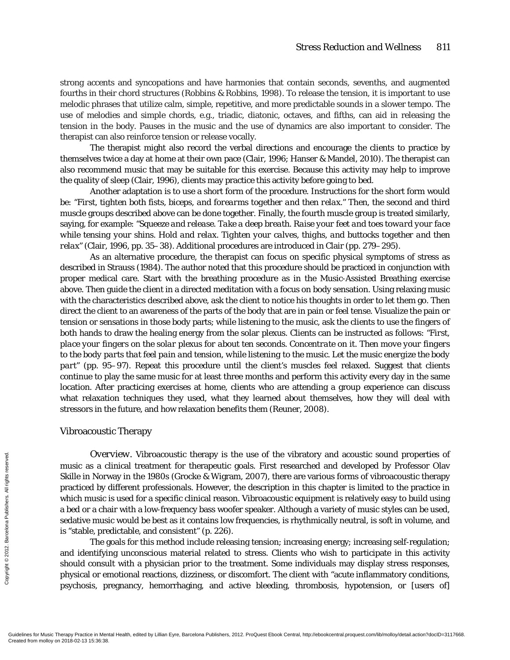strong accents and syncopations and have harmonies that contain seconds, sevenths, and augmented fourths in their chord structures (Robbins & Robbins, 1998). To release the tension, it is important to use melodic phrases that utilize calm, simple, repetitive, and more predictable sounds in a slower tempo. The use of melodies and simple chords, e.g., triadic, diatonic, octaves, and fifths, can aid in releasing the tension in the body. Pauses in the music and the use of dynamics are also important to consider. The therapist can also reinforce tension or release vocally.

The therapist might also record the verbal directions and encourage the clients to practice by themselves twice a day at home at their own pace (Clair, 1996; Hanser & Mandel, 2010). The therapist can also recommend music that may be suitable for this exercise. Because this activity may help to improve the quality of sleep (Clair, 1996), clients may practice this activity before going to bed.

Another adaptation is to use a short form of the procedure. Instructions for the short form would be: "F*irst, tighten both fists, biceps, and forearms together and then relax."* Then, the second and third muscle groups described above can be done together. Finally, the fourth muscle group is treated similarly, saying, for example: *"Squeeze and release. Take a deep breath. Raise your feet and toes toward your face while tensing your shins. Hold and relax. Tighten your calves, thighs, and buttocks together and then relax"* (Clair, 1996, pp. 35–38). Additional procedures are introduced in Clair (pp. 279–295).

As an alternative procedure, the therapist can focus on specific physical symptoms of stress as described in Strauss (1984). The author noted that this procedure should be practiced in conjunction with proper medical care. Start with the breathing procedure as in the Music-Assisted Breathing exercise above. Then guide the client in a directed meditation with a focus on body sensation. Using relaxing music with the characteristics described above, ask the client to notice his thoughts in order to let them go. Then direct the client to an awareness of the parts of the body that are in pain or feel tense. Visualize the pain or tension or sensations in those body parts; while listening to the music, ask the clients to use the fingers of both hands to draw the healing energy from the solar plexus. Clients can be instructed as follows: *"First, place your fingers on the solar plexus for about ten seconds. Concentrate on it. Then move your fingers to the body parts that feel pain and tension, while listening to the music. Let the music energize the body part"* (pp. 95–97). Repeat this procedure until the client's muscles feel relaxed. Suggest that clients continue to play the same music for at least three months and perform this activity every day in the same location. After practicing exercises at home, clients who are attending a group experience can discuss what relaxation techniques they used, what they learned about themselves, how they will deal with stressors in the future, and how relaxation benefits them (Reuner, 2008).

#### Vibroacoustic Therapy

*Overview.* Vibroacoustic therapy is the use of the vibratory and acoustic sound properties of music as a clinical treatment for therapeutic goals. First researched and developed by Professor Olav Skille in Norway in the 1980s (Grocke & Wigram, 2007), there are various forms of vibroacoustic therapy practiced by different professionals. However, the description in this chapter is limited to the practice in which music is used for a specific clinical reason. Vibroacoustic equipment is relatively easy to build using a bed or a chair with a low-frequency bass woofer speaker. Although a variety of music styles can be used, sedative music would be best as it contains low frequencies, is rhythmically neutral, is soft in volume, and is "stable, predictable, and consistent" (p. 226). Created from molloy on 2018-02-13 15:36:38.<br>
Gradients for Music Therapy Practice of Dyer Created from molloy on 2018-02-13 15:36:38.<br>
Gradients for Music Therapy Practice in Men<br>
Created from molloy on 2018-02-13 15:36:38

The goals for this method include releasing tension; increasing energy; increasing self-regulation; and identifying unconscious material related to stress. Clients who wish to participate in this activity should consult with a physician prior to the treatment. Some individuals may display stress responses, physical or emotional reactions, dizziness, or discomfort. The client with "acute inflammatory conditions, psychosis, pregnancy, hemorrhaging, and active bleeding, thrombosis, hypotension, or [users of]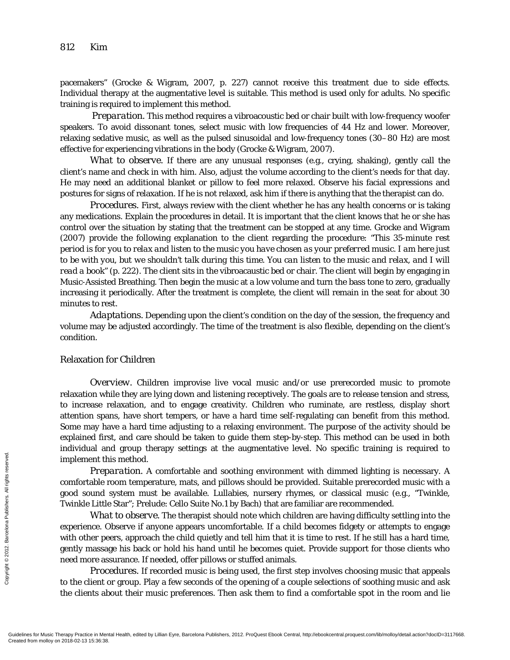pacemakers" (Grocke & Wigram, 2007, p. 227) cannot receive this treatment due to side effects. Individual therapy at the augmentative level is suitable. This method is used only for adults. No specific training is required to implement this method.

*Preparation.* This method requires a vibroacoustic bed or chair built with low-frequency woofer speakers. To avoid dissonant tones, select music with low frequencies of 44 Hz and lower. Moreover, relaxing sedative music, as well as the pulsed sinusoidal and low-frequency tones (30–80 Hz) are most effective for experiencing vibrations in the body (Grocke & Wigram, 2007).

*What to observe.* If there are any unusual responses (e.g., crying, shaking), gently call the client's name and check in with him. Also, adjust the volume according to the client's needs for that day. He may need an additional blanket or pillow to feel more relaxed. Observe his facial expressions and postures for signs of relaxation. If he is not relaxed, ask him if there is anything that the therapist can do.

*Procedures.* First, always review with the client whether he has any health concerns or is taking any medications. Explain the procedures in detail. It is important that the client knows that he or she has control over the situation by stating that the treatment can be stopped at any time. Grocke and Wigram (2007) provide the following explanation to the client regarding the procedure: *"This 35-minute rest period is for you to relax and listen to the music you have chosen as your preferred music. I am here just to be with you, but we shouldn't talk during this time. You can listen to the music and relax, and I will read a book"* (p. 222). The client sits in the vibroacaustic bed or chair. The client will begin by engaging in Music-Assisted Breathing. Then begin the music at a low volume and turn the bass tone to zero, gradually increasing it periodically. After the treatment is complete, the client will remain in the seat for about 30 minutes to rest.

*Adaptations.* Depending upon the client's condition on the day of the session, the frequency and volume may be adjusted accordingly. The time of the treatment is also flexible, depending on the client's condition.

# Relaxation for Children

*Overview.* Children improvise live vocal music and/or use prerecorded music to promote relaxation while they are lying down and listening receptively. The goals are to release tension and stress, to increase relaxation, and to engage creativity. Children who ruminate, are restless, display short attention spans, have short tempers, or have a hard time self-regulating can benefit from this method. Some may have a hard time adjusting to a relaxing environment. The purpose of the activity should be explained first, and care should be taken to guide them step-by-step. This method can be used in both individual and group therapy settings at the augmentative level. No specific training is required to implement this method.

*Preparation.* A comfortable and soothing environment with dimmed lighting is necessary. A comfortable room temperature, mats, and pillows should be provided. Suitable prerecorded music with a good sound system must be available. Lullabies, nursery rhymes, or classical music (e.g., "Twinkle, Twinkle Little Star"; Prelude: Cello Suite No.1 by Bach) that are familiar are recommended.

*What to observe.* The therapist should note which children are having difficulty settling into the experience. Observe if anyone appears uncomfortable. If a child becomes fidgety or attempts to engage with other peers, approach the child quietly and tell him that it is time to rest. If he still has a hard time, gently massage his back or hold his hand until he becomes quiet. Provide support for those clients who need more assurance. If needed, offer pillows or stuffed animals. Exercise<br>
Exercise the monotonical propriate of the monotonical propriate of the server interaction<br>  $\frac{1}{2}$  are defined to the client of the clients ab<br>
Guidelines for Music Therapy Practice in Men<br>
Created from molloy

*Procedures.* If recorded music is being used, the first step involves choosing music that appeals to the client or group. Play a few seconds of the opening of a couple selections of soothing music and ask the clients about their music preferences. Then ask them to find a comfortable spot in the room and lie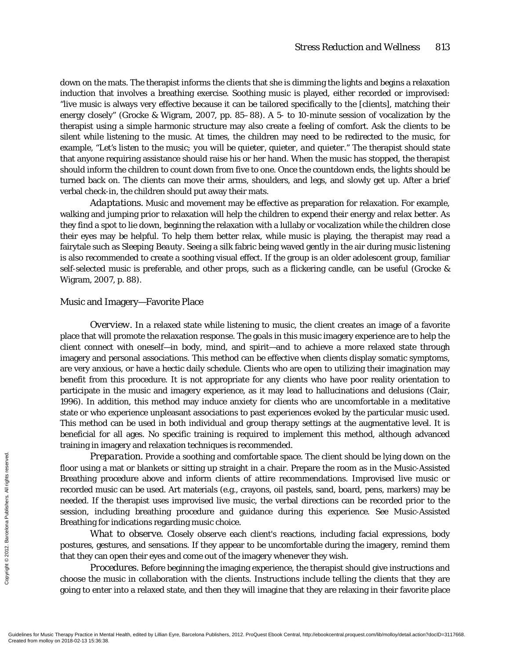down on the mats. The therapist informs the clients that she is dimming the lights and begins a relaxation induction that involves a breathing exercise. Soothing music is played, either recorded or improvised: "live music is always very effective because it can be tailored specifically to the [clients], matching their energy closely" (Grocke & Wigram, 2007, pp. 85–88). A 5- to 10-minute session of vocalization by the therapist using a simple harmonic structure may also create a feeling of comfort. Ask the clients to be silent while listening to the music. At times, the children may need to be redirected to the music, for example, "*Let's listen to the music; you will be quieter, quieter, and quieter*." The therapist should state that anyone requiring assistance should raise his or her hand. When the music has stopped, the therapist should inform the children to count down from five to one. Once the countdown ends, the lights should be turned back on. The clients can move their arms, shoulders, and legs, and slowly get up. After a brief verbal check-in, the children should put away their mats.

*Adaptations.* Music and movement may be effective as preparation for relaxation. For example, walking and jumping prior to relaxation will help the children to expend their energy and relax better. As they find a spot to lie down, beginning the relaxation with a lullaby or vocalization while the children close their eyes may be helpful. To help them better relax, while music is playing, the therapist may read a fairytale such as *Sleeping Beauty.* Seeing a silk fabric being waved gently in the air during music listening is also recommended to create a soothing visual effect. If the group is an older adolescent group, familiar self-selected music is preferable, and other props, such as a flickering candle, can be useful (Grocke & Wigram, 2007, p. 88).

# Music and Imagery—Favorite Place

*Overview.* In a relaxed state while listening to music, the client creates an image of a favorite place that will promote the relaxation response. The goals in this music imagery experience are to help the client connect with oneself—in body, mind, and spirit—and to achieve a more relaxed state through imagery and personal associations. This method can be effective when clients display somatic symptoms, are very anxious, or have a hectic daily schedule. Clients who are open to utilizing their imagination may benefit from this procedure. It is not appropriate for any clients who have poor reality orientation to participate in the music and imagery experience, as it may lead to hallucinations and delusions (Clair, 1996). In addition, this method may induce anxiety for clients who are uncomfortable in a meditative state or who experience unpleasant associations to past experiences evoked by the particular music used. This method can be used in both individual and group therapy settings at the augmentative level. It is beneficial for all ages. No specific training is required to implement this method, although advanced training in imagery and relaxation techniques is recommended.

*Preparation.* Provide a soothing and comfortable space. The client should be lying down on the floor using a mat or blankets or sitting up straight in a chair. Prepare the room as in the Music-Assisted Breathing procedure above and inform clients of attire recommendations. Improvised live music or recorded music can be used. Art materials (e.g., crayons, oil pastels, sand, board, pens, markers) may be needed. If the therapist uses improvised live music, the verbal directions can be recorded prior to the session, including breathing procedure and guidance during this experience. See Music-Assisted Breathing for indications regarding music choice. Prep<br>
Established From More using a<br>
Breathing precorded mus<br>
meeded. If the<br>
session, inclu<br>
Breathing for<br>
From Ma<br>
postures, gest<br>
that they can<br> *Proc*<br>
choose the m<br>
going to enter<br>
Guidelines for Music Therapy Practi

*What to observe.* Closely observe each client's reactions, including facial expressions, body postures, gestures, and sensations. If they appear to be uncomfortable during the imagery, remind them that they can open their eyes and come out of the imagery whenever they wish.

*Procedures.* Before beginning the imaging experience, the therapist should give instructions and choose the music in collaboration with the clients. Instructions include telling the clients that they are going to enter into a relaxed state, and then they will imagine that they are relaxing in their favorite place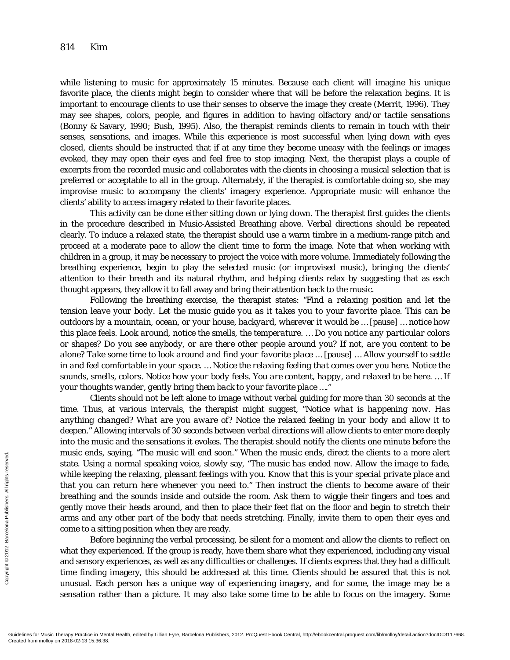while listening to music for approximately 15 minutes. Because each client will imagine his unique favorite place, the clients might begin to consider where that will be before the relaxation begins. It is important to encourage clients to use their senses to observe the image they create (Merrit, 1996). They may see shapes, colors, people, and figures in addition to having olfactory and/or tactile sensations (Bonny & Savary, 1990; Bush, 1995). Also, the therapist reminds clients to remain in touch with their senses, sensations, and images. While this experience is most successful when lying down with eyes closed, clients should be instructed that if at any time they become uneasy with the feelings or images evoked, they may open their eyes and feel free to stop imaging. Next, the therapist plays a couple of excerpts from the recorded music and collaborates with the clients in choosing a musical selection that is preferred or acceptable to all in the group. Alternately, if the therapist is comfortable doing so, she may improvise music to accompany the clients' imagery experience. Appropriate music will enhance the clients' ability to access imagery related to their favorite places.

This activity can be done either sitting down or lying down. The therapist first guides the clients in the procedure described in Music-Assisted Breathing above. Verbal directions should be repeated clearly. To induce a relaxed state, the therapist should use a warm timbre in a medium-range pitch and proceed at a moderate pace to allow the client time to form the image. Note that when working with children in a group, it may be necessary to project the voice with more volume. Immediately following the breathing experience, begin to play the selected music (or improvised music), bringing the clients' attention to their breath and its natural rhythm, and helping clients relax by suggesting that as each thought appears, they allow it to fall away and bring their attention back to the music.

Following the breathing exercise, the therapist states: *"Find a relaxing position and let the tension leave your body. Let the music guide you as it takes you to your favorite place. This can be outdoors by a mountain, ocean, or your house, backyard, wherever it would be …* [pause] *… notice how this place feels. Look around, notice the smells, the temperature. … Do you notice any particular colors or shapes? Do you see anybody, or are there other people around you? If not, are you content to be alone? Take some time to look around and find your favorite place …* [pause] *… Allow yourself to settle in and feel comfortable in your space. … Notice the relaxing feeling that comes over you here. Notice the sounds, smells, colors. Notice how your body feels. You are content, happy, and relaxed to be here. … If your thoughts wander, gently bring them back to your favorite place …."*

Clients should not be left alone to image without verbal guiding for more than 30 seconds at the time. Thus, at various intervals, the therapist might suggest, *"Notice what is happening now. Has anything changed? What are you aware of? Notice the relaxed feeling in your body and allow it to deepen."* Allowing intervals of 30 seconds between verbal directions will allow clients to enter more deeply into the music and the sensations it evokes. The therapist should notify the clients one minute before the music ends, saying, *"The music will end soon."* When the music ends, direct the clients to a more alert state. Using a normal speaking voice, slowly say, *"The music has ended now. Allow the image to fade, while keeping the relaxing, pleasant feelings with you. Know that this is your special private place and that you can return here whenever you need to."* Then instruct the clients to become aware of their breathing and the sounds inside and outside the room. Ask them to wiggle their fingers and toes and gently move their heads around, and then to place their feet flat on the floor and begin to stretch their arms and any other part of the body that needs stretching. Finally, invite them to open their eyes and come to a sitting position when they are ready. Thust ends, s<br>
state. Using a<br>
state. Using a<br>
while keeping<br>
that you can<br>
breathing and<br>
gently move i<br>
arms and any<br>
come to a sitt<br>
Befor<br>
what they ex<br>
and sensory e<br>
and sensory e<br>
time finding<br>
unusual. Eac<br>
sensati

Before beginning the verbal processing, be silent for a moment and allow the clients to reflect on what they experienced. If the group is ready, have them share what they experienced, including any visual and sensory experiences, as well as any difficulties or challenges. If clients express that they had a difficult time finding imagery, this should be addressed at this time. Clients should be assured that this is not unusual. Each person has a unique way of experiencing imagery, and for some, the image may be a sensation rather than a picture. It may also take some time to be able to focus on the imagery. Some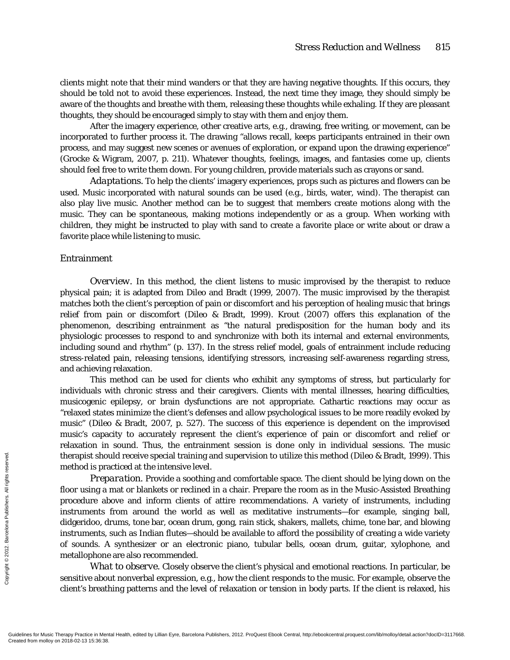clients might note that their mind wanders or that they are having negative thoughts. If this occurs, they should be told not to avoid these experiences. Instead, the next time they image, they should simply be aware of the thoughts and breathe with them, releasing these thoughts while exhaling. If they are pleasant thoughts, they should be encouraged simply to stay with them and enjoy them.

After the imagery experience, other creative arts, e.g., drawing, free writing, or movement, can be incorporated to further process it. The drawing "allows recall, keeps participants entrained in their own process, and may suggest new scenes or avenues of exploration, or expand upon the drawing experience" (Grocke & Wigram, 2007, p. 211). Whatever thoughts, feelings, images, and fantasies come up, clients should feel free to write them down. For young children, provide materials such as crayons or sand.

*Adaptations.* To help the clients' imagery experiences, props such as pictures and flowers can be used. Music incorporated with natural sounds can be used (e.g., birds, water, wind). The therapist can also play live music. Another method can be to suggest that members create motions along with the music. They can be spontaneous, making motions independently or as a group. When working with children, they might be instructed to play with sand to create a favorite place or write about or draw a favorite place while listening to music.

#### Entrainment

*Overview.* In this method, the client listens to music improvised by the therapist to reduce physical pain; it is adapted from Dileo and Bradt (1999, 2007). The music improvised by the therapist matches both the client's perception of pain or discomfort and his perception of healing music that brings relief from pain or discomfort (Dileo & Bradt, 1999). Krout (2007) offers this explanation of the phenomenon, describing entrainment as "the natural predisposition for the human body and its physiologic processes to respond to and synchronize with both its internal and external environments, including sound and rhythm" (p. 137). In the stress relief model, goals of entrainment include reducing stress-related pain, releasing tensions, identifying stressors, increasing self-awareness regarding stress, and achieving relaxation.

This method can be used for clients who exhibit any symptoms of stress, but particularly for individuals with chronic stress and their caregivers. Clients with mental illnesses, hearing difficulties, musicogenic epilepsy, or brain dysfunctions are not appropriate. Cathartic reactions may occur as "relaxed states minimize the client's defenses and allow psychological issues to be more readily evoked by music" (Dileo & Bradt, 2007, p. 527). The success of this experience is dependent on the improvised music's capacity to accurately represent the client's experience of pain or discomfort and relief or relaxation in sound. Thus, the entrainment session is done only in individual sessions. The music therapist should receive special training and supervision to utilize this method (Dileo & Bradt, 1999). This method is practiced at the intensive level.

*Preparation.* Provide a soothing and comfortable space. The client should be lying down on the floor using a mat or blankets or reclined in a chair. Prepare the room as in the Music-Assisted Breathing procedure above and inform clients of attire recommendations. A variety of instruments, including instruments from around the world as well as meditative instruments—for example, singing ball, didgeridoo, drums, tone bar, ocean drum, gong, rain stick, shakers, mallets, chime, tone bar, and blowing instruments, such as Indian flutes—should be available to afford the possibility of creating a wide variety of sounds. A synthesizer or an electronic piano, tubular bells, ocean drum, guitar, xylophone, and metallophone are also recommended. Exercise the<br>
Exercise the method is praid that the computed in the contract of the sum of the sum of the sum of the sum of the sum of the sum of the sum of the sum of the sum of the sum of the sum of the sum of the sum of

*What to observe.* Closely observe the client's physical and emotional reactions. In particular, be sensitive about nonverbal expression, e.g., how the client responds to the music. For example, observe the client's breathing patterns and the level of relaxation or tension in body parts. If the client is relaxed, his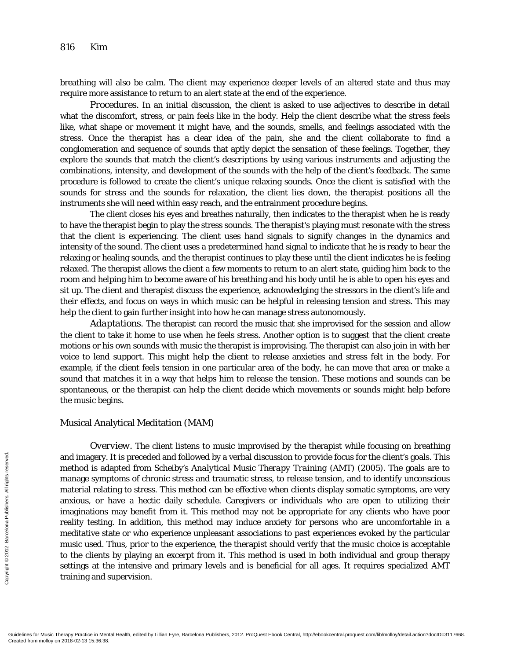breathing will also be calm. The client may experience deeper levels of an altered state and thus may require more assistance to return to an alert state at the end of the experience.

*Procedures.* In an initial discussion, the client is asked to use adjectives to describe in detail what the discomfort, stress, or pain feels like in the body. Help the client describe what the stress feels like, what shape or movement it might have, and the sounds, smells, and feelings associated with the stress. Once the therapist has a clear idea of the pain, she and the client collaborate to find a conglomeration and sequence of sounds that aptly depict the sensation of these feelings. Together, they explore the sounds that match the client's descriptions by using various instruments and adjusting the combinations, intensity, and development of the sounds with the help of the client's feedback. The same procedure is followed to create the client's unique relaxing sounds. Once the client is satisfied with the sounds for stress and the sounds for relaxation, the client lies down, the therapist positions all the instruments she will need within easy reach, and the entrainment procedure begins.

The client closes his eyes and breathes naturally, then indicates to the therapist when he is ready to have the therapist begin to play the stress sounds. The therapist's playing must *resonate* with the stress that the client is experiencing. The client uses hand signals to signify changes in the dynamics and intensity of the sound. The client uses a predetermined hand signal to indicate that he is ready to hear the relaxing or healing sounds, and the therapist continues to play these until the client indicates he is feeling relaxed. The therapist allows the client a few moments to return to an alert state, guiding him back to the room and helping him to become aware of his breathing and his body until he is able to open his eyes and sit up. The client and therapist discuss the experience, acknowledging the stressors in the client's life and their effects, and focus on ways in which music can be helpful in releasing tension and stress. This may help the client to gain further insight into how he can manage stress autonomously.

*Adaptations.* The therapist can record the music that she improvised for the session and allow the client to take it home to use when he feels stress. Another option is to suggest that the client create motions or his own sounds with music the therapist is improvising. The therapist can also join in with her voice to lend support. This might help the client to release anxieties and stress felt in the body. For example, if the client feels tension in one particular area of the body, he can move that area or make a sound that matches it in a way that helps him to release the tension. These motions and sounds can be spontaneous, or the therapist can help the client decide which movements or sounds might help before the music begins.

#### Musical Analytical Meditation (MAM)

*Overview.* The client listens to music improvised by the therapist while focusing on breathing and imagery. It is preceded and followed by a verbal discussion to provide focus for the client's goals. This method is adapted from Scheiby's *Analytical Music Therapy Training* (AMT) (2005). The goals are to manage symptoms of chronic stress and traumatic stress, to release tension, and to identify unconscious material relating to stress. This method can be effective when clients display somatic symptoms, are very anxious, or have a hectic daily schedule. Caregivers or individuals who are open to utilizing their imaginations may benefit from it. This method may not be appropriate for any clients who have poor reality testing. In addition, this method may induce anxiety for persons who are uncomfortable in a meditative state or who experience unpleasant associations to past experiences evoked by the particular music used. Thus, prior to the experience, the therapist should verify that the music choice is acceptable to the clients by playing an excerpt from it. This method is used in both individual and group therapy settings at the intensive and primary levels and is beneficial for all ages. It requires specialized AMT training and supervision. Exercise<br>
Exercise the manage symplement<br>
manage symplemental relat<br>
anxious, or l<br>
imaginations<br>
reality testing<br>
meditative string<br>
meditative string<br>
meditative string<br>
to the clients<br>
settings at th<br>
training and s<br>
Cu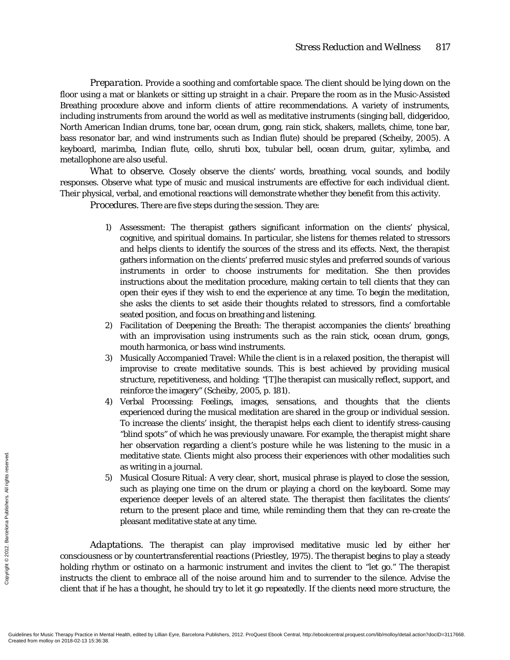*Preparation.* Provide a soothing and comfortable space. The client should be lying down on the floor using a mat or blankets or sitting up straight in a chair. Prepare the room as in the Music-Assisted Breathing procedure above and inform clients of attire recommendations. A variety of instruments, including instruments from around the world as well as meditative instruments (singing ball, didgeridoo, North American Indian drums, tone bar, ocean drum, gong, rain stick, shakers, mallets, chime, tone bar, bass resonator bar, and wind instruments such as Indian flute) should be prepared (Scheiby, 2005). A keyboard, marimba, Indian flute, cello, shruti box, tubular bell, ocean drum, guitar, xylimba, and metallophone are also useful.

*What to observe.* Closely observe the clients' words, breathing, vocal sounds, and bodily responses. Observe what type of music and musical instruments are effective for each individual client. Their physical, verbal, and emotional reactions will demonstrate whether they benefit from this activity.

*Procedures.* There are five steps during the session. They are:

- 1) Assessment: The therapist gathers significant information on the clients' physical, cognitive, and spiritual domains. In particular, she listens for themes related to stressors and helps clients to identify the sources of the stress and its effects. Next, the therapist gathers information on the clients' preferred music styles and preferred sounds of various instruments in order to choose instruments for meditation. She then provides instructions about the meditation procedure, making certain to tell clients that they can open their eyes if they wish to end the experience at any time. To begin the meditation, she asks the clients to set aside their thoughts related to stressors, find a comfortable seated position, and focus on breathing and listening.
- 2) Facilitation of Deepening the Breath: The therapist accompanies the clients' breathing with an improvisation using instruments such as the rain stick, ocean drum, gongs, mouth harmonica, or bass wind instruments.
- 3) Musically Accompanied Travel: While the client is in a relaxed position, the therapist will improvise to create meditative sounds. This is best achieved by providing musical structure, repetitiveness, and holding: "[T]he therapist can musically reflect, support, and reinforce the imagery" (Scheiby, 2005, p. 181).
- 4) Verbal Processing: Feelings, images, sensations, and thoughts that the clients experienced during the musical meditation are shared in the group or individual session. To increase the clients' insight, the therapist helps each client to identify stress-causing "blind spots" of which he was previously unaware. For example, the therapist might share her observation regarding a client's posture while he was listening to the music in a meditative state. Clients might also process their experiences with other modalities such as writing in a journal.
- 5) Musical Closure Ritual: A very clear, short, musical phrase is played to close the session, such as playing one time on the drum or playing a chord on the keyboard. Some may experience deeper levels of an altered state. The therapist then facilitates the clients' return to the present place and time, while reminding them that they can re-create the pleasant meditative state at any time.

*Adaptations.* The therapist can play improvised meditative music led by either her consciousness or by countertransferential reactions (Priestley, 1975). The therapist begins to play a steady holding rhythm or ostinato on a harmonic instrument and invites the client to "let go." The therapist instructs the client to embrace all of the noise around him and to surrender to the silence. Advise the client that if he has a thought, he should try to let it go repeatedly. If the clients need more structure, the Execution  $\frac{1}{2}$ <br>
Execution  $\frac{1}{2}$ <br>  $\frac{1}{2}$ <br>  $\frac{1}{2}$ <br>  $\frac{1}{2}$ <br>  $\frac{1}{2}$ <br>  $\frac{1}{2}$ <br>  $\frac{1}{2}$ <br>  $\frac{1}{2}$ <br>  $\frac{1}{2}$ <br>  $\frac{1}{2}$ <br>  $\frac{1}{2}$ <br>  $\frac{1}{2}$ <br>  $\frac{1}{2}$ <br>  $\frac{1}{2}$ <br>  $\frac{1}{2}$ <br>  $\frac{1}{2}$ <br>  $\frac{1}{2}$ <br>  $\frac$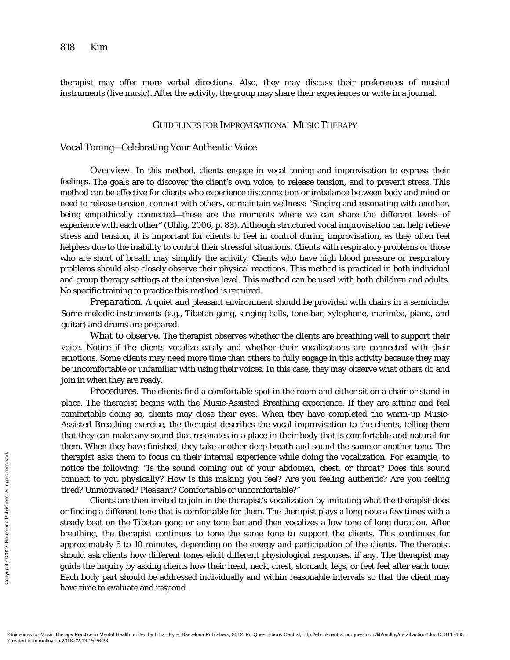therapist may offer more verbal directions. Also, they may discuss their preferences of musical instruments (live music). After the activity, the group may share their experiences or write in a journal.

#### GUIDELINES FOR IMPROVISATIONAL MUSIC THERAPY

# Vocal Toning—Celebrating Your Authentic Voice

*Overview.* In this method, clients engage in vocal toning and improvisation to express their feelings. The goals are to discover the client's own voice, to release tension, and to prevent stress. This method can be effective for clients who experience disconnection or imbalance between body and mind or need to release tension, connect with others, or maintain wellness: "Singing and resonating with another, being empathically connected—these are the moments where we can share the different levels of experience with each other" (Uhlig, 2006, p. 83). Although structured vocal improvisation can help relieve stress and tension, it is important for clients to feel in control during improvisation, as they often feel helpless due to the inability to control their stressful situations. Clients with respiratory problems or those who are short of breath may simplify the activity. Clients who have high blood pressure or respiratory problems should also closely observe their physical reactions. This method is practiced in both individual and group therapy settings at the intensive level. This method can be used with both children and adults. No specific training to practice this method is required.

*Preparation.* A quiet and pleasant environment should be provided with chairs in a semicircle. Some melodic instruments (e.g., Tibetan gong, singing balls, tone bar, xylophone, marimba, piano, and guitar) and drums are prepared.

*What to observe.* The therapist observes whether the clients are breathing well to support their voice. Notice if the clients vocalize easily and whether their vocalizations are connected with their emotions. Some clients may need more time than others to fully engage in this activity because they may be uncomfortable or unfamiliar with using their voices. In this case, they may observe what others do and join in when they are ready.

*Procedures.* The clients find a comfortable spot in the room and either sit on a chair or stand in place. The therapist begins with the Music-Assisted Breathing experience. If they are sitting and feel comfortable doing so, clients may close their eyes. When they have completed the warm-up Music-Assisted Breathing exercise, the therapist describes the vocal improvisation to the clients, telling them that they can make any sound that resonates in a place in their body that is comfortable and natural for them. When they have finished, they take another deep breath and sound the same or another tone. The therapist asks them to focus on their internal experience while doing the vocalization. For example, to notice the following: *"Is the sound coming out of your abdomen, chest, or throat? Does this sound connect to you physically? How is this making you feel? Are you feeling authentic? Are you feeling tired? Unmotivated? Pleasant? Comfortable or uncomfortable?"*

Clients are then invited to join in the therapist's vocalization by imitating what the therapist does or finding a different tone that is comfortable for them. The therapist plays a long note a few times with a steady beat on the Tibetan gong or any tone bar and then vocalizes a low tone of long duration. After breathing, the therapist continues to tone the same tone to support the clients. This continues for approximately 5 to 10 minutes, depending on the energy and participation of the clients. The therapist should ask clients how different tones elicit different physiological responses, if any. The therapist may guide the inquiry by asking clients how their head, neck, chest, stomach, legs, or feet feel after each tone. Each body part should be addressed individually and within reasonable intervals so that the client may have time to evaluate and respond. From motice the footage is a motice the footage is a motice that for  $t$  and  $t$  and  $t$  and  $t$  and  $t$  and  $t$  and  $t$  and  $t$  and  $t$  and  $t$  and  $t$  and  $t$  and  $t$  and  $t$  and  $t$  and  $t$  and  $t$  and  $t$  and  $t$  and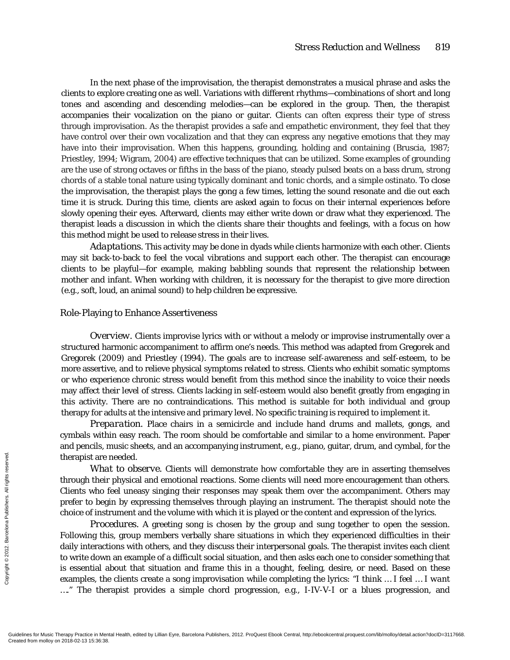In the next phase of the improvisation, the therapist demonstrates a musical phrase and asks the clients to explore creating one as well. Variations with different rhythms—combinations of short and long tones and ascending and descending melodies—can be explored in the group. Then, the therapist accompanies their vocalization on the piano or guitar. Clients can often express their type of stress through improvisation. As the therapist provides a safe and empathetic environment, they feel that they have control over their own vocalization and that they can express any negative emotions that they may have into their improvisation. When this happens, grounding, holding and containing (Bruscia, 1987; Priestley, 1994; Wigram, 2004) are effective techniques that can be utilized. Some examples of grounding are the use of strong octaves or fifths in the bass of the piano, steady pulsed beats on a bass drum, strong chords of a stable tonal nature using typically dominant and tonic chords, and a simple ostinato. To close the improvisation, the therapist plays the gong a few times, letting the sound resonate and die out each time it is struck. During this time, clients are asked again to focus on their internal experiences before slowly opening their eyes. Afterward, clients may either write down or draw what they experienced. The therapist leads a discussion in which the clients share their thoughts and feelings, with a focus on how this method might be used to release stress in their lives.

*Adaptations.* This activity may be done in dyads while clients harmonize with each other. Clients may sit back-to-back to feel the vocal vibrations and support each other. The therapist can encourage clients to be playful—for example, making babbling sounds that represent the relationship between mother and infant. When working with children, it is necessary for the therapist to give more direction (e.g., soft, loud, an animal sound) to help children be expressive.

#### Role-Playing to Enhance Assertiveness

*Overview.* Clients improvise lyrics with or without a melody or improvise instrumentally over a structured harmonic accompaniment to affirm one's needs. This method was adapted from Gregorek and Gregorek (2009) and Priestley (1994). The goals are to increase self-awareness and self-esteem, to be more assertive, and to relieve physical symptoms related to stress. Clients who exhibit somatic symptoms or who experience chronic stress would benefit from this method since the inability to voice their needs may affect their level of stress. Clients lacking in self-esteem would also benefit greatly from engaging in this activity. There are no contraindications. This method is suitable for both individual and group therapy for adults at the intensive and primary level. No specific training is required to implement it.

*Preparation.* Place chairs in a semicircle and include hand drums and mallets, gongs, and cymbals within easy reach. The room should be comfortable and similar to a home environment. Paper and pencils, music sheets, and an accompanying instrument, e.g., piano, guitar, drum, and cymbal, for the therapist are needed.

*What to observe.* Clients will demonstrate how comfortable they are in asserting themselves through their physical and emotional reactions. Some clients will need more encouragement than others. Clients who feel uneasy singing their responses may speak them over the accompaniment. Others may prefer to begin by expressing themselves through playing an instrument. The therapist should note the choice of instrument and the volume with which it is played or the content and expression of the lyrics.

*Procedures.* A greeting song is chosen by the group and sung together to open the session. Following this, group members verbally share situations in which they experienced difficulties in their daily interactions with others, and they discuss their interpersonal goals. The therapist invites each client to write down an example of a difficult social situation, and then asks each one to consider something that is essential about that situation and frame this in a thought, feeling, desire, or need. Based on these examples, the clients create a song improvisation while completing the lyrics: "*I think … I feel … I want ….*" The therapist provides a simple chord progression, e.g., I-IV-V-I or a blues progression, and Exercise<br>
Exercise the map is through their<br>
Clients who f<br>
prefer to beginness who f<br>
prefer to beginnes who f<br>
copyrights reserved.<br>
Processed from the down<br>
is essential a<br>
examples, the<br>
Coudelines for Music Therapy Pr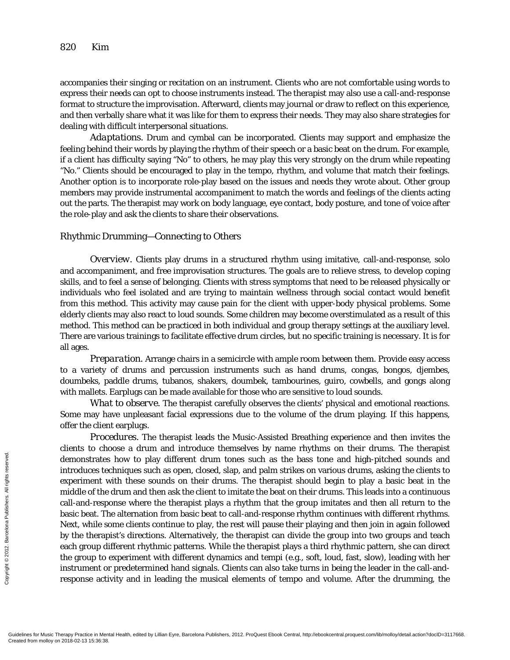accompanies their singing or recitation on an instrument. Clients who are not comfortable using words to express their needs can opt to choose instruments instead. The therapist may also use a call-and-response format to structure the improvisation. Afterward, clients may journal or draw to reflect on this experience, and then verbally share what it was like for them to express their needs. They may also share strategies for dealing with difficult interpersonal situations.

*Adaptations.* Drum and cymbal can be incorporated. Clients may support and emphasize the feeling behind their words by playing the rhythm of their speech or a basic beat on the drum. For example, if a client has difficulty saying "No" to others, he may play this very strongly on the drum while repeating "No." Clients should be encouraged to play in the tempo, rhythm, and volume that match their feelings. Another option is to incorporate role-play based on the issues and needs they wrote about. Other group members may provide instrumental accompaniment to match the words and feelings of the clients acting out the parts. The therapist may work on body language, eye contact, body posture, and tone of voice after the role-play and ask the clients to share their observations.

#### Rhythmic Drumming—Connecting to Others

*Overview.* Clients play drums in a structured rhythm using imitative, call-and-response, solo and accompaniment, and free improvisation structures. The goals are to relieve stress, to develop coping skills, and to feel a sense of belonging. Clients with stress symptoms that need to be released physically or individuals who feel isolated and are trying to maintain wellness through social contact would benefit from this method. This activity may cause pain for the client with upper-body physical problems. Some elderly clients may also react to loud sounds. Some children may become overstimulated as a result of this method. This method can be practiced in both individual and group therapy settings at the auxiliary level. There are various trainings to facilitate effective drum circles, but no specific training is necessary. It is for all ages.

*Preparation.* Arrange chairs in a semicircle with ample room between them. Provide easy access to a variety of drums and percussion instruments such as hand drums, congas, bongos, djembes, doumbeks, paddle drums, tubanos, shakers, doumbek, tambourines, guiro, cowbells, and gongs along with mallets. Earplugs can be made available for those who are sensitive to loud sounds.

*What to observe.* The therapist carefully observes the clients' physical and emotional reactions. Some may have unpleasant facial expressions due to the volume of the drum playing. If this happens, offer the client earplugs.

*Procedures.* The therapist leads the Music-Assisted Breathing experience and then invites the clients to choose a drum and introduce themselves by name rhythms on their drums. The therapist demonstrates how to play different drum tones such as the bass tone and high-pitched sounds and introduces techniques such as open, closed, slap, and palm strikes on various drums, asking the clients to experiment with these sounds on their drums. The therapist should begin to play a basic beat in the middle of the drum and then ask the client to imitate the beat on their drums. This leads into a continuous call-and-response where the therapist plays a rhythm that the group imitates and then all return to the basic beat. The alternation from basic beat to call-and-response rhythm continues with different rhythms. Next, while some clients continue to play, the rest will pause their playing and then join in again followed by the therapist's directions. Alternatively, the therapist can divide the group into two groups and teach each group different rhythmic patterns. While the therapist plays a third rhythmic pattern, she can direct the group to experiment with different dynamics and tempi (e.g., soft, loud, fast, slow), leading with her instrument or predetermined hand signals. Clients can also take turns in being the leader in the call-andresponse activity and in leading the musical elements of tempo and volume. After the drumming, the Exercise the contractes<br>
Exercise the experiment we middle of the<br>
call-and-responds to the call-and-response basic beat. The<br>
Secret Created from the strong exponse action<br>
Exponse action<br>
Condelines for Music Therapy Pra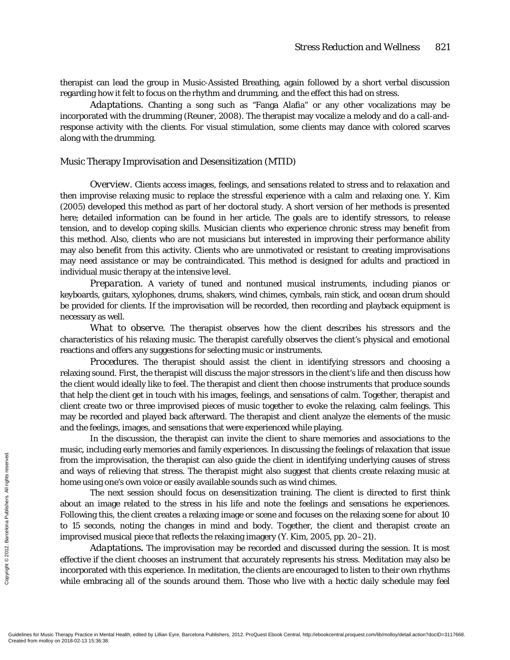therapist can lead the group in Music-Assisted Breathing, again followed by a short verbal discussion regarding how it felt to focus on the rhythm and drumming, and the effect this had on stress.

*Adaptations.* Chanting a song such as "Fanga Alafia" or any other vocalizations may be incorporated with the drumming (Reuner, 2008). The therapist may vocalize a melody and do a call-andresponse activity with the clients. For visual stimulation, some clients may dance with colored scarves along with the drumming.

## Music Therapy Improvisation and Desensitization (MTID)

*Overview.* Clients access images, feelings, and sensations related to stress and to relaxation and then improvise relaxing music to replace the stressful experience with a calm and relaxing one. Y. Kim (2005) developed this method as part of her doctoral study. A short version of her methods is presented here; detailed information can be found in her article. The goals are to identify stressors, to release tension, and to develop coping skills. Musician clients who experience chronic stress may benefit from this method. Also, clients who are not musicians but interested in improving their performance ability may also benefit from this activity. Clients who are unmotivated or resistant to creating improvisations may need assistance or may be contraindicated. This method is designed for adults and practiced in individual music therapy at the intensive level.

*Preparation.* A variety of tuned and nontuned musical instruments, including pianos or keyboards, guitars, xylophones, drums, shakers, wind chimes, cymbals, rain stick, and ocean drum should be provided for clients. If the improvisation will be recorded, then recording and playback equipment is necessary as well.

*What to observe.* The therapist observes how the client describes his stressors and the characteristics of his relaxing music. The therapist carefully observes the client's physical and emotional reactions and offers any suggestions for selecting music or instruments.

*Procedures.* The therapist should assist the client in identifying stressors and choosing a relaxing sound. First, the therapist will discuss the major stressors in the client's life and then discuss how the client would ideally like to feel. The therapist and client then choose instruments that produce sounds that help the client get in touch with his images, feelings, and sensations of calm. Together, therapist and client create two or three improvised pieces of music together to evoke the relaxing, calm feelings. This may be recorded and played back afterward. The therapist and client analyze the elements of the music and the feelings, images, and sensations that were experienced while playing.

In the discussion, the therapist can invite the client to share memories and associations to the music, including early memories and family experiences. In discussing the feelings of relaxation that issue from the improvisation, the therapist can also guide the client in identifying underlying causes of stress and ways of relieving that stress. The therapist might also suggest that clients create relaxing music at home using one's own voice or easily available sounds such as wind chimes.

The next session should focus on desensitization training. The client is directed to first think about an image related to the stress in his life and note the feelings and sensations he experiences. Following this, the client creates a relaxing image or scene and focuses on the relaxing scene for about 10 to 15 seconds, noting the changes in mind and body. Together, the client and therapist create an improvised musical piece that reflects the relaxing imagery (Y. Kim, 2005, pp. 20–21). From the impairs from the impairs of  $\frac{2}{3}$ <br>  $\frac{2}{3}$ <br>  $\frac{2}{3}$ <br>  $\frac{2}{3}$ <br>  $\frac{2}{3}$ <br>  $\frac{2}{3}$ <br>  $\frac{2}{3}$ <br>  $\frac{2}{3}$ <br>  $\frac{2}{3}$ <br>  $\frac{2}{3}$ <br>  $\frac{2}{3}$ <br>  $\frac{2}{3}$ <br>  $\frac{2}{3}$ <br>  $\frac{2}{3}$ <br>  $\frac{2}{3}$ <br>  $\frac{2}{3}$ <br>  $\frac{2}{3}$ 

*Adaptations.* The improvisation may be recorded and discussed during the session. It is most effective if the client chooses an instrument that accurately represents his stress. Meditation may also be incorporated with this experience. In meditation, the clients are encouraged to listen to their own rhythms while embracing all of the sounds around them. Those who live with a hectic daily schedule may feel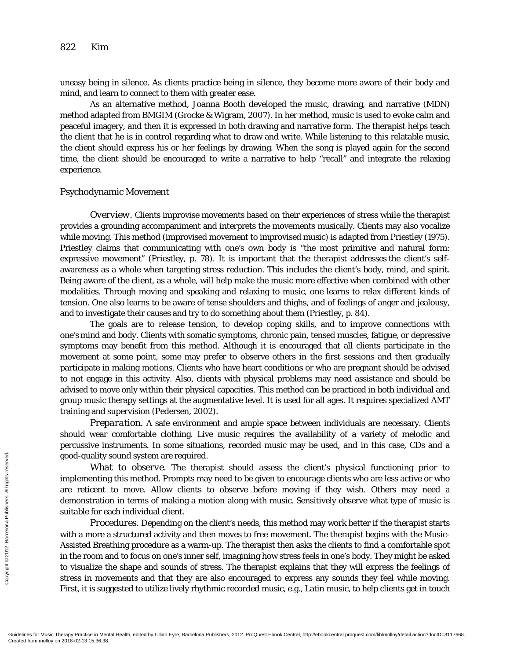uneasy being in silence. As clients practice being in silence, they become more aware of their body and mind, and learn to connect to them with greater ease.

As an alternative method, Joanna Booth developed the music, drawing, and narrative (MDN) method adapted from BMGIM (Grocke & Wigram, 2007). In her method, music is used to evoke calm and peaceful imagery, and then it is expressed in both drawing and narrative form. The therapist helps teach the client that he is in control regarding what to draw and write. While listening to this relatable music, the client should express his or her feelings by drawing. When the song is played again for the second time, the client should be encouraged to write a narrative to help "recall" and integrate the relaxing experience.

# Psychodynamic Movement

*Overview.* Clients improvise movements based on their experiences of stress while the therapist provides a grounding accompaniment and interprets the movements musically. Clients may also vocalize while moving. This method (improvised movement to improvised music) is adapted from Priestley (1975). Priestley claims that communicating with one's own body is "the most primitive and natural form: expressive movement" (Priestley, p. 78). It is important that the therapist addresses the client's selfawareness as a whole when targeting stress reduction. This includes the client's body, mind, and spirit. Being aware of the client, as a whole, will help make the music more effective when combined with other modalities. Through moving and speaking and relaxing to music, one learns to relax different kinds of tension. One also learns to be aware of tense shoulders and thighs, and of feelings of anger and jealousy, and to investigate their causes and try to do something about them (Priestley, p. 84).

The goals are to release tension, to develop coping skills, and to improve connections with one's mind and body. Clients with somatic symptoms, chronic pain, tensed muscles, fatigue, or depressive symptoms may benefit from this method. Although it is encouraged that all clients participate in the movement at some point, some may prefer to observe others in the first sessions and then gradually participate in making motions. Clients who have heart conditions or who are pregnant should be advised to not engage in this activity. Also, clients with physical problems may need assistance and should be advised to move only within their physical capacities. This method can be practiced in both individual and group music therapy settings at the augmentative level. It is used for all ages. It requires specialized AMT training and supervision (Pedersen, 2002).

*Preparation.* A safe environment and ample space between individuals are necessary. Clients should wear comfortable clothing. Live music requires the availability of a variety of melodic and percussive instruments. In some situations, recorded music may be used, and in this case, CDs and a good-quality sound system are required.

*What to observe.* The therapist should assess the client's physical functioning prior to implementing this method. Prompts may need to be given to encourage clients who are less active or who are reticent to move. Allow clients to observe before moving if they wish. Others may need a demonstration in terms of making a motion along with music. Sensitively observe what type of music is suitable for each individual client.

*Procedures.* Depending on the client's needs, this method may work better if the therapist starts with a more a structured activity and then moves to free movement. The therapist begins with the Music-Assisted Breathing procedure as a warm-up. The therapist then asks the clients to find a comfortable spot in the room and to focus on one's inner self, imagining how stress feels in one's body. They might be asked to visualize the shape and sounds of stress. The therapist explains that they will express the feelings of stress in movements and that they are also encouraged to express any sounds they feel while moving. First, it is suggested to utilize lively rhythmic recorded music, e.g., Latin music, to help clients get in touch From Managed and Served.<br>
From Managed and Served.<br>
From Managed and Served.<br>
From Managed and Managed and Managed and Managed and Managed and Served.<br>
First, it is sugned.<br>
Guidelines for Music Therapy Practice in Men<br>
Cr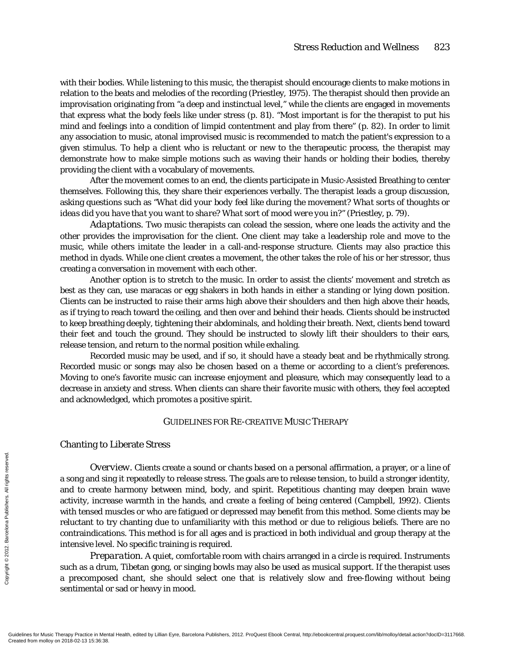with their bodies. While listening to this music, the therapist should encourage clients to make motions in relation to the beats and melodies of the recording (Priestley, 1975). The therapist should then provide an improvisation originating from "a deep and instinctual level," while the clients are engaged in movements that express what the body feels like under stress (p. 81). "Most important is for the therapist to put his mind and feelings into a condition of limpid contentment and play from there" (p. 82). In order to limit any association to music, atonal improvised music is recommended to match the patient's expression to a given stimulus. To help a client who is reluctant or new to the therapeutic process, the therapist may demonstrate how to make simple motions such as waving their hands or holding their bodies, thereby providing the client with a vocabulary of movements.

After the movement comes to an end, the clients participate in Music-Assisted Breathing to center themselves. Following this, they share their experiences verbally. The therapist leads a group discussion, asking questions such as *"What did your body feel like during the movement? What sorts of thoughts or ideas did you have that you want to share? What sort of mood were you in?"* (Priestley, p. 79).

*Adaptations.* Two music therapists can colead the session, where one leads the activity and the other provides the improvisation for the client. One client may take a leadership role and move to the music, while others imitate the leader in a call-and-response structure. Clients may also practice this method in dyads. While one client creates a movement, the other takes the role of his or her stressor, thus creating a conversation in movement with each other.

Another option is to stretch to the music. In order to assist the clients' movement and stretch as best as they can, use maracas or egg shakers in both hands in either a standing or lying down position. Clients can be instructed to raise their arms high above their shoulders and then high above their heads, as if trying to reach toward the ceiling, and then over and behind their heads. Clients should be instructed to keep breathing deeply, tightening their abdominals, and holding their breath. Next, clients bend toward their feet and touch the ground. They should be instructed to slowly lift their shoulders to their ears, release tension, and return to the normal position while exhaling.

Recorded music may be used, and if so, it should have a steady beat and be rhythmically strong. Recorded music or songs may also be chosen based on a theme or according to a client's preferences. Moving to one's favorite music can increase enjoyment and pleasure, which may consequently lead to a decrease in anxiety and stress. When clients can share their favorite music with others, they feel accepted and acknowledged, which promotes a positive spirit.

# GUIDELINES FOR RE-CREATIVE MUSIC THERAPY

#### Chanting to Liberate Stress

*Overview.* Clients create a sound or chants based on a personal affirmation, a prayer, or a line of a song and sing it repeatedly to release stress. The goals are to release tension, to build a stronger identity, and to create harmony between mind, body, and spirit. Repetitious chanting may deepen brain wave activity, increase warmth in the hands, and create a feeling of being centered (Campbell, 1992). Clients with tensed muscles or who are fatigued or depressed may benefit from this method. Some clients may be reluctant to try chanting due to unfamiliarity with this method or due to religious beliefs. There are no contraindications. This method is for all ages and is practiced in both individual and group therapy at the intensive level. No specific training is required. From molloy on 2018-02-13 15:36:38.<br>
Gradient Created from molloy on 2018-02-13 15:36:38.<br>
Gradient Created from molloy on 2012-02-13 15:36:38.

*Preparation.* A quiet, comfortable room with chairs arranged in a circle is required. Instruments such as a drum, Tibetan gong, or singing bowls may also be used as musical support. If the therapist uses a precomposed chant, she should select one that is relatively slow and free-flowing without being sentimental or sad or heavy in mood.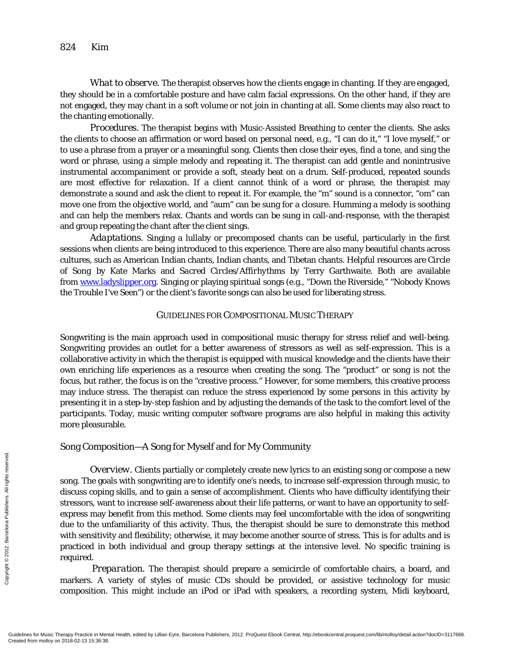*What to observe.* The therapist observes how the clients engage in chanting. If they are engaged, they should be in a comfortable posture and have calm facial expressions. On the other hand, if they are not engaged, they may chant in a soft volume or not join in chanting at all. Some clients may also react to the chanting emotionally.

*Procedures.* The therapist begins with Music-Assisted Breathing to center the clients. She asks the clients to choose an affirmation or word based on personal need, e.g., "I can do it," "I love myself," or to use a phrase from a prayer or a meaningful song. Clients then close their eyes, find a tone, and sing the word or phrase, using a simple melody and repeating it. The therapist can add gentle and nonintrusive instrumental accompaniment or provide a soft, steady beat on a drum. Self-produced, repeated sounds are most effective for relaxation. If a client cannot think of a word or phrase, the therapist may demonstrate a sound and ask the client to repeat it. For example, the "m" sound is a connector, "om" can move one from the objective world, and "aum" can be sung for a closure. Humming a melody is soothing and can help the members relax. Chants and words can be sung in call-and-response, with the therapist and group repeating the chant after the client sings.

*Adaptations.* Singing a lullaby or precomposed chants can be useful, particularly in the first sessions when clients are being introduced to this experience. There are also many beautiful chants across cultures, such as American Indian chants, Indian chants, and Tibetan chants. Helpful resources are *Circle of Song* by Kate Marks and *Sacred Circles/Affirhythms* by Terry Garthwaite. Both are available from [www.ladyslipper.org.](http://www.ladyslipper.org/) Singing or playing spiritual songs (e.g., "Down the Riverside," "Nobody Knows the Trouble I've Seen") or the client's favorite songs can also be used for liberating stress.

# GUIDELINES FOR COMPOSITIONAL MUSIC THERAPY

Songwriting is the main approach used in compositional music therapy for stress relief and well-being. Songwriting provides an outlet for a better awareness of stressors as well as self-expression. This is a collaborative activity in which the therapist is equipped with musical knowledge and the clients have their own enriching life experiences as a resource when creating the song. The "product" or song is not the focus, but rather, the focus is on the "creative process." However, for some members, this creative process may induce stress. The therapist can reduce the stress experienced by some persons in this activity by presenting it in a step-by-step fashion and by adjusting the demands of the task to the comfort level of the participants. Today, music writing computer software programs are also helpful in making this activity more pleasurable.

# Song Composition—A Song for Myself and for My Community

*Overview.* Clients partially or completely create new lyrics to an existing song or compose a new song. The goals with songwriting are to identify one's needs, to increase self-expression through music, to discuss coping skills, and to gain a sense of accomplishment. Clients who have difficulty identifying their stressors, want to increase self-awareness about their life patterns, or want to have an opportunity to selfexpress may benefit from this method. Some clients may feel uncomfortable with the idea of songwriting due to the unfamiliarity of this activity. Thus, the therapist should be sure to demonstrate this method with sensitivity and flexibility; otherwise, it may become another source of stress. This is for adults and is practiced in both individual and group therapy settings at the intensive level. No specific training is required. Created from molloy on 2018-02-13 15:36:38.<br>
Gradientes for Music Therapy Practice in Men<br>
Created from molloy on 2018-02-13 15:36:38.<br>
Created from molloy on 2018-02-13 15:36:38.

*Preparation.* The therapist should prepare a semicircle of comfortable chairs, a board, and markers. A variety of styles of music CDs should be provided, or assistive technology for music composition. This might include an iPod or iPad with speakers, a recording system, Midi keyboard,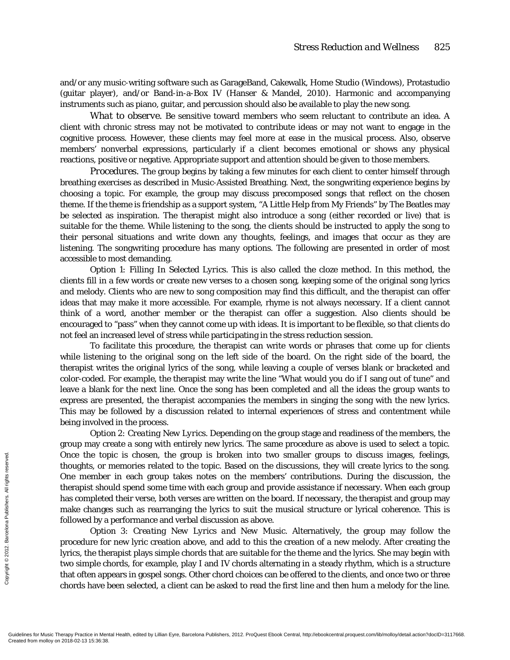and/or any music-writing software such as GarageBand, Cakewalk, Home Studio (Windows), Protastudio (guitar player), and/or Band-in-a-Box IV (Hanser & Mandel, 2010). Harmonic and accompanying instruments such as piano, guitar, and percussion should also be available to play the new song.

*What to observe.* Be sensitive toward members who seem reluctant to contribute an idea. A client with chronic stress may not be motivated to contribute ideas or may not want to engage in the cognitive process. However, these clients may feel more at ease in the musical process. Also, observe members' nonverbal expressions, particularly if a client becomes emotional or shows any physical reactions, positive or negative. Appropriate support and attention should be given to those members.

*Procedures.* The group begins by taking a few minutes for each client to center himself through breathing exercises as described in Music-Assisted Breathing. Next, the songwriting experience begins by choosing a topic. For example, the group may discuss precomposed songs that reflect on the chosen theme. If the theme is friendship as a support system, "A Little Help from My Friends" by The Beatles may be selected as inspiration. The therapist might also introduce a song (either recorded or live) that is suitable for the theme. While listening to the song, the clients should be instructed to apply the song to their personal situations and write down any thoughts, feelings, and images that occur as they are listening. The songwriting procedure has many options. The following are presented in order of most accessible to most demanding.

*Option 1: Filling In Selected Lyrics.* This is also called the cloze method. In this method, the clients fill in a few words or create new verses to a chosen song, keeping some of the original song lyrics and melody. Clients who are new to song composition may find this difficult, and the therapist can offer ideas that may make it more accessible. For example, rhyme is not always necessary. If a client cannot think of a word, another member or the therapist can offer a suggestion. Also clients should be encouraged to "pass" when they cannot come up with ideas. It is important to be flexible, so that clients do not feel an increased level of stress while participating in the stress reduction session.

To facilitate this procedure, the therapist can write words or phrases that come up for clients while listening to the original song on the left side of the board. On the right side of the board, the therapist writes the original lyrics of the song, while leaving a couple of verses blank or bracketed and color-coded. For example, the therapist may write the line "What would you do if I sang out of tune" and leave a blank for the next line. Once the song has been completed and all the ideas the group wants to express are presented, the therapist accompanies the members in singing the song with the new lyrics. This may be followed by a discussion related to internal experiences of stress and contentment while being involved in the process.

*Option 2: Creating New Lyrics.* Depending on the group stage and readiness of the members, the group may create a song with entirely new lyrics. The same procedure as above is used to select a topic. Once the topic is chosen, the group is broken into two smaller groups to discuss images, feelings, thoughts, or memories related to the topic. Based on the discussions, they will create lyrics to the song. One member in each group takes notes on the members' contributions. During the discussion, the therapist should spend some time with each group and provide assistance if necessary. When each group has completed their verse, both verses are written on the board. If necessary, the therapist and group may make changes such as rearranging the lyrics to suit the musical structure or lyrical coherence. This is followed by a performance and verbal discussion as above. From Mondel the top thoughts, or  $\frac{p}{\overline{z}}$ <br>  $\frac{p}{\overline{z}}$  (since  $\overline{z}$  and  $\overline{z}$  and  $\overline{z}$  and  $\overline{z}$  followed by a<br>  $\frac{p}{\overline{z}}$  and  $\overline{z}$  followed by a<br>  $\overline{z}$  and  $\overline{z}$  and  $\overline{z}$  and  $\overline{z}$ 

*Option 3: Creating New Lyrics and New Music.* Alternatively, the group may follow the procedure for new lyric creation above, and add to this the creation of a new melody. After creating the lyrics, the therapist plays simple chords that are suitable for the theme and the lyrics. She may begin with two simple chords, for example, play I and IV chords alternating in a steady rhythm, which is a structure that often appears in gospel songs. Other chord choices can be offered to the clients, and once two or three chords have been selected, a client can be asked to read the first line and then hum a melody for the line.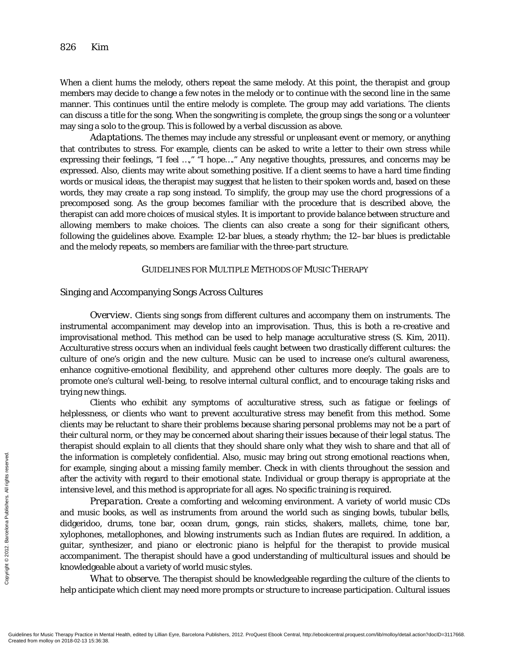When a client hums the melody, others repeat the same melody. At this point, the therapist and group members may decide to change a few notes in the melody or to continue with the second line in the same manner. This continues until the entire melody is complete. The group may add variations. The clients can discuss a title for the song. When the songwriting is complete, the group sings the song or a volunteer may sing a solo to the group. This is followed by a verbal discussion as above.

*Adaptations.* The themes may include any stressful or unpleasant event or memory, or anything that contributes to stress. For example, clients can be asked to write a letter to their own stress while expressing their feelings, "I feel …," "I hope…." Any negative thoughts, pressures, and concerns may be expressed. Also, clients may write about something positive. If a client seems to have a hard time finding words or musical ideas, the therapist may suggest that he listen to their spoken words and, based on these words, they may create a rap song instead. To simplify, the group may use the chord progressions of a precomposed song. As the group becomes familiar with the procedure that is described above, the therapist can add more choices of musical styles. It is important to provide balance between structure and allowing members to make choices. The clients can also create a song for their significant others, following the guidelines above. *Example*: 12-bar blues, a steady rhythm; the 12-bar blues is predictable and the melody repeats, so members are familiar with the three-part structure.

#### GUIDELINES FOR MULTIPLE METHODS OF MUSIC THERAPY

#### Singing and Accompanying Songs Across Cultures

*Overview.* Clients sing songs from different cultures and accompany them on instruments. The instrumental accompaniment may develop into an improvisation. Thus, this is both a re-creative and improvisational method. This method can be used to help manage acculturative stress (S. Kim, 2011). Acculturative stress occurs when an individual feels caught between two drastically different cultures: the culture of one's origin and the new culture. Music can be used to increase one's cultural awareness, enhance cognitive-emotional flexibility, and apprehend other cultures more deeply. The goals are to promote one's cultural well-being, to resolve internal cultural conflict, and to encourage taking risks and trying new things.

Clients who exhibit any symptoms of acculturative stress, such as fatigue or feelings of helplessness, or clients who want to prevent acculturative stress may benefit from this method. Some clients may be reluctant to share their problems because sharing personal problems may not be a part of their cultural norm, or they may be concerned about sharing their issues because of their legal status. The therapist should explain to all clients that they should share only what they wish to share and that all of the information is completely confidential. Also, music may bring out strong emotional reactions when, for example, singing about a missing family member. Check in with clients throughout the session and after the activity with regard to their emotional state. Individual or group therapy is appropriate at the intensive level, and this method is appropriate for all ages. No specific training is required.

*Preparation.* Create a comforting and welcoming environment. A variety of world music CDs and music books, as well as instruments from around the world such as singing bowls, tubular bells, didgeridoo, drums, tone bar, ocean drum, gongs, rain sticks, shakers, mallets, chime, tone bar, xylophones, metallophones, and blowing instruments such as Indian flutes are required. In addition, a guitar, synthesizer, and piano or electronic piano is helpful for the therapist to provide musical accompaniment. The therapist should have a good understanding of multicultural issues and should be knowledgeable about a variety of world music styles. Free the information of example,<br>  $\frac{1}{2}$  and the active intensive leve<br>  $Prep$ <br>
and music be<br>
didgeridoo, explophones, reserved.<br>  $\frac{1}{2}$  and music be<br>
didgeridoo, explophones, reserved.<br>  $\frac{1}{2}$  and accompanime<br>
acc

*What to observe.* The therapist should be knowledgeable regarding the culture of the clients to help anticipate which client may need more prompts or structure to increase participation. Cultural issues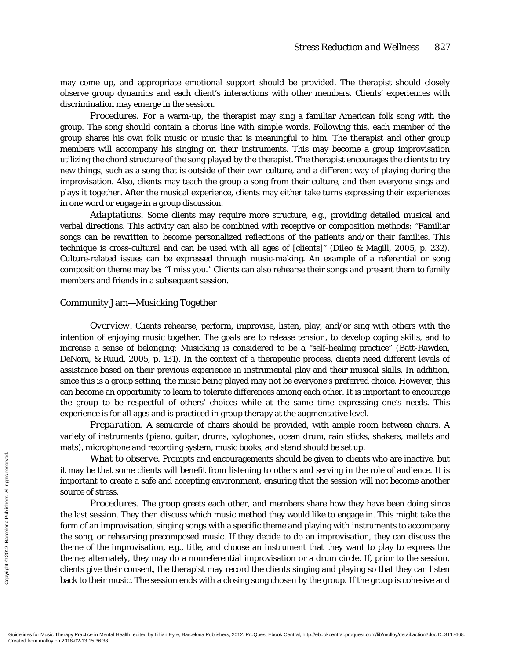may come up, and appropriate emotional support should be provided. The therapist should closely observe group dynamics and each client's interactions with other members. Clients' experiences with discrimination may emerge in the session.

*Procedures.* For a warm-up, the therapist may sing a familiar American folk song with the group. The song should contain a chorus line with simple words. Following this, each member of the group shares his own folk music or music that is meaningful to him. The therapist and other group members will accompany his singing on their instruments. This may become a group improvisation utilizing the chord structure of the song played by the therapist. The therapist encourages the clients to try new things, such as a song that is outside of their own culture, and a different way of playing during the improvisation. Also, clients may teach the group a song from their culture, and then everyone sings and plays it together. After the musical experience, clients may either take turns expressing their experiences in one word or engage in a group discussion.

*Adaptations.* Some clients may require more structure, e.g., providing detailed musical and verbal directions. This activity can also be combined with receptive or composition methods: "Familiar songs can be rewritten to become personalized reflections of the patients and/or their families. This technique is cross-cultural and can be used with all ages of [clients]" (Dileo & Magill, 2005, p. 232). Culture-related issues can be expressed through music-making. An example of a referential or song composition theme may be: "I miss you." Clients can also rehearse their songs and present them to family members and friends in a subsequent session.

#### Community Jam—Musicking Together

*Overview.* Clients rehearse, perform, improvise, listen, play, and/or sing with others with the intention of enjoying music together. The goals are to release tension, to develop coping skills, and to increase a sense of belonging: Musicking is considered to be a "self-healing practice" (Batt-Rawden, DeNora, & Ruud, 2005, p. 131). In the context of a therapeutic process, clients need different levels of assistance based on their previous experience in instrumental play and their musical skills. In addition, since this is a group setting, the music being played may not be everyone's preferred choice. However, this can become an opportunity to learn to tolerate differences among each other. It is important to encourage the group to be respectful of others' choices while at the same time expressing one's needs. This experience is for all ages and is practiced in group therapy at the augmentative level.

*Preparation.* A semicircle of chairs should be provided, with ample room between chairs. A variety of instruments (piano, guitar, drums, xylophones, ocean drum, rain sticks, shakers, mallets and mats), microphone and recording system, music books, and stand should be set up.

*What to observe.* Prompts and encouragements should be given to clients who are inactive, but it may be that some clients will benefit from listening to others and serving in the role of audience. It is important to create a safe and accepting environment, ensuring that the session will not become another source of stress.

*Procedures.* The group greets each other, and members share how they have been doing since the last session. They then discuss which music method they would like to engage in. This might take the form of an improvisation, singing songs with a specific theme and playing with instruments to accompany the song, or rehearsing precomposed music. If they decide to do an improvisation, they can discuss the theme of the improvisation, e.g., title, and choose an instrument that they want to play to express the theme; alternately, they may do a nonreferential improvisation or a drum circle. If, prior to the session, clients give their consent, the therapist may record the clients singing and playing so that they can listen back to their music. The session ends with a closing song chosen by the group. If the group is cohesive and Exerces the internation of an important to<br>  $\frac{2}{3}$ <br>  $\frac{2}{3}$ <br>  $\frac{2}{3}$ <br>  $\frac{2}{3}$ <br>  $\frac{2}{3}$ <br>  $\frac{2}{3}$ <br>  $\frac{2}{3}$ <br>  $\frac{2}{3}$ <br>  $\frac{2}{3}$ <br>  $\frac{2}{3}$ <br>  $\frac{2}{3}$ <br>  $\frac{2}{3}$ <br>  $\frac{2}{3}$ <br>  $\frac{2}{3}$ <br>  $\frac{2}{3}$ <br>  $\frac{2}{3}$ <br>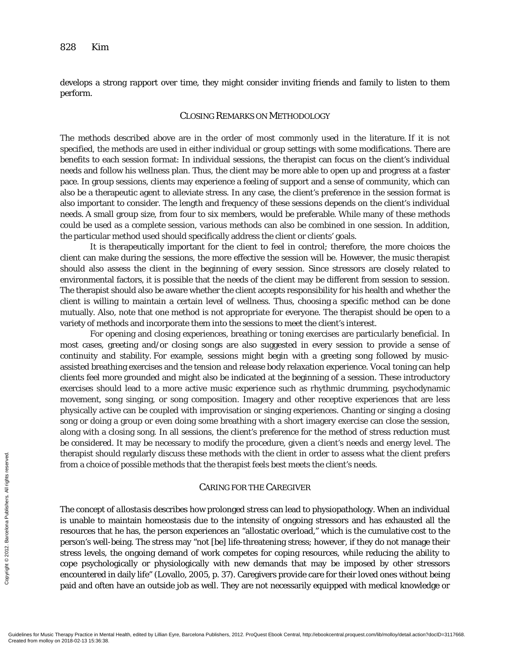develops a strong rapport over time, they might consider inviting friends and family to listen to them perform.

## CLOSING REMARKS ON METHODOLOGY

The methods described above are in the order of most commonly used in the literature. If it is not specified, the methods are used in either individual or group settings with some modifications. There are benefits to each session format: In individual sessions, the therapist can focus on the client's individual needs and follow his wellness plan. Thus, the client may be more able to open up and progress at a faster pace. In group sessions, clients may experience a feeling of support and a sense of community, which can also be a therapeutic agent to alleviate stress. In any case, the client's preference in the session format is also important to consider. The length and frequency of these sessions depends on the client's individual needs. A small group size, from four to six members, would be preferable. While many of these methods could be used as a complete session, various methods can also be combined in one session. In addition, the particular method used should specifically address the client or clients' goals.

It is therapeutically important for the client to feel in control; therefore, the more choices the client can make during the sessions, the more effective the session will be. However, the music therapist should also assess the client in the beginning of every session. Since stressors are closely related to environmental factors, it is possible that the needs of the client may be different from session to session. The therapist should also be aware whether the client accepts responsibility for his health and whether the client is willing to maintain a certain level of wellness. Thus, choosing a specific method can be done mutually. Also, note that one method is not appropriate for everyone. The therapist should be open to a variety of methods and incorporate them into the sessions to meet the client's interest.

For opening and closing experiences, breathing or toning exercises are particularly beneficial. In most cases, greeting and/or closing songs are also suggested in every session to provide a sense of continuity and stability. For example, sessions might begin with a greeting song followed by musicassisted breathing exercises and the tension and release body relaxation experience. Vocal toning can help clients feel more grounded and might also be indicated at the beginning of a session. These introductory exercises should lead to a more active music experience such as rhythmic drumming, psychodynamic movement, song singing, or song composition. Imagery and other receptive experiences that are less physically active can be coupled with improvisation or singing experiences. Chanting or singing a closing song or doing a group or even doing some breathing with a short imagery exercise can close the session, along with a closing song. In all sessions, the client's preference for the method of stress reduction must be considered. It may be necessary to modify the procedure, given a client's needs and energy level. The therapist should regularly discuss these methods with the client in order to assess what the client prefers from a choice of possible methods that the therapist feels best meets the client's needs.

# CARING FOR THE CAREGIVER

The concept of *allostasis* describes how prolonged stress can lead to physiopathology. When an individual is unable to maintain homeostasis due to the intensity of ongoing stressors and has exhausted all the resources that he has, the person experiences an "allostatic overload," which is the cumulative cost to the person's well-being. The stress may "not [be] life-threatening stress; however, if they do not manage their stress levels, the ongoing demand of work competes for coping resources, while reducing the ability to cope psychologically or physiologically with new demands that may be imposed by other stressors encountered in daily life" (Lovallo, 2005, p. 37). Caregivers provide care for their loved ones without being paid and often have an outside job as well. They are not necessarily equipped with medical knowledge or Exercise<br>
Exercise<br>
From a choice<br>
From a choice<br>
From a choice<br>
In a concept c<br>
is unable to 1<br>
resources tha<br>
person's well-<br>
stress levels,<br>
cope psychol<br>
encountered ip<br>
and and ofte<br>
Paid and ofte<br>
Created from molloy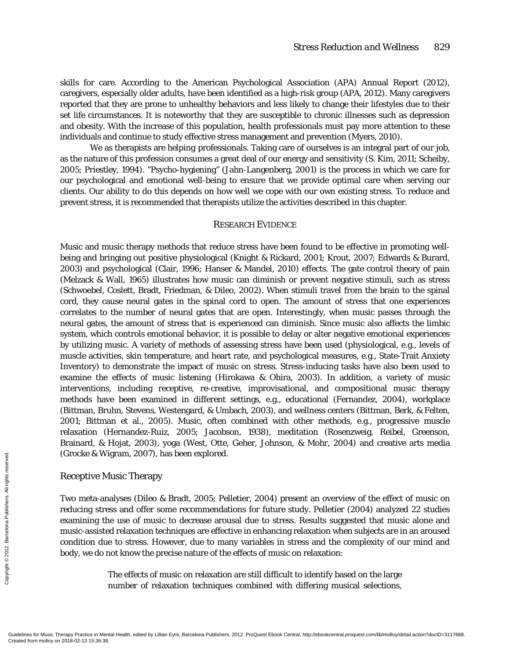skills for care. According to the American Psychological Association (APA) Annual Report (2012), caregivers, especially older adults, have been identified as a high-risk group (APA, 2012). Many caregivers reported that they are prone to unhealthy behaviors and less likely to change their lifestyles due to their set life circumstances. It is noteworthy that they are susceptible to chronic illnesses such as depression and obesity. With the increase of this population, health professionals must pay more attention to these individuals and continue to study effective stress management and prevention (Myers, 2010).

We as therapists are *helping* professionals. Taking care of ourselves is an integral part of our job, as the nature of this profession consumes a great deal of our energy and sensitivity (S. Kim, 2011; Scheiby, 2005; Priestley, 1994). "Psycho-hygiening" (Jahn-Langenberg, 2001) is the process in which we care for our psychological and emotional well-being to ensure that we provide optimal care when serving our clients. Our ability to do this depends on how well we cope with our own existing stress. To reduce and prevent stress, it is recommended that therapists utilize the activities described in this chapter.

#### RESEARCH EVIDENCE

Music and music therapy methods that reduce stress have been found to be effective in promoting wellbeing and bringing out positive physiological (Knight & Rickard, 2001; Krout, 2007; Edwards & Burard, 2003) and psychological (Clair, 1996; Hanser & Mandel, 2010) effects. The gate control theory of pain (Melzack & Wall, 1965) illustrates how music can diminish or prevent negative stimuli, such as stress (Schwoebel, Coslett, Bradt, Friedman, & Dileo, 2002). When stimuli travel from the brain to the spinal cord, they cause neural gates in the spinal cord to open. The amount of stress that one experiences correlates to the number of neural gates that are open. Interestingly, when music passes through the neural gates, the amount of stress that is experienced can diminish. Since music also affects the limbic system, which controls emotional behavior, it is possible to delay or alter negative emotional experiences by utilizing music. A variety of methods of assessing stress have been used (physiological, e.g., levels of muscle activities, skin temperature, and heart rate, and psychological measures, e.g., State-Trait Anxiety Inventory) to demonstrate the impact of music on stress. Stress-inducing tasks have also been used to examine the effects of music listening (Hirokawa & Ohira, 2003). In addition, a variety of music interventions, including receptive, re-creative, improvisational, and compositional music therapy methods have been examined in different settings, e.g., educational (Fernandez, 2004), workplace (Bittman, Bruhn, Stevens, Westengard, & Umbach, 2003), and wellness centers (Bittman, Berk, & Felten, 2001; Bittman et al., 2005). Music, often combined with other methods, e.g., progressive muscle relaxation (Hernandez-Ruiz, 2005; Jacobson, 1938), meditation (Rosenzweig, Reibel, Greenson, Brainard, & Hojat, 2003), yoga (West, Otte, Geher, Johnson, & Mohr, 2004) and creative arts media (Grocke & Wigram, 2007), has been explored.

#### Receptive Music Therapy

Two meta-analyses (Dileo & Bradt, 2005; Pelletier, 2004) present an overview of the effect of music on reducing stress and offer some recommendations for future study. Pelletier (2004) analyzed 22 studies examining the use of music to decrease arousal due to stress. Results suggested that music alone and music-assisted relaxation techniques are effective in enhancing relaxation when subjects are in an aroused condition due to stress. However, due to many variables in stress and the complexity of our mind and body, we do not know the precise nature of the effects of music on relaxation: Exercise the **Created from molloy on 2018-02-13 15:36:38.**<br>
Greated from molloy on 2018-02-13 15:36:38.<br>
Greated from molloy on 2018-02-13 15:36:38.<br>
Copyrights reserved. All rights reserved. All rights reserved. All right

The effects of music on relaxation are still difficult to identify based on the large number of relaxation techniques combined with differing musical selections,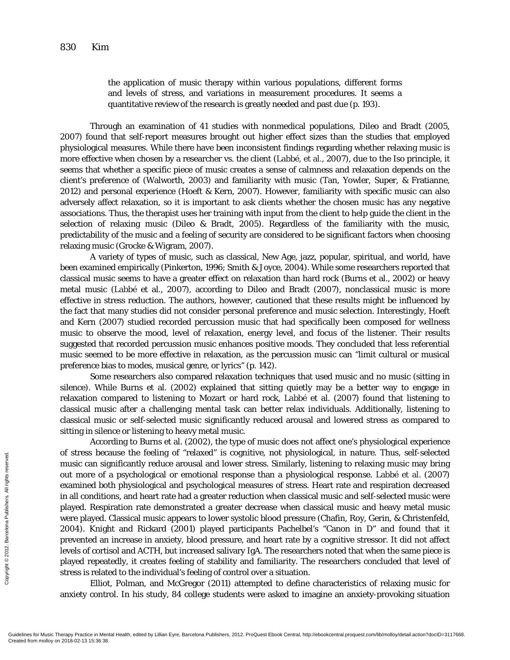the application of music therapy within various populations, different forms and levels of stress, and variations in measurement procedures. It seems a quantitative review of the research is greatly needed and past due (p. 193).

Through an examination of 41 studies with nonmedical populations, Dileo and Bradt (2005, 2007) found that self-report measures brought out higher effect sizes than the studies that employed physiological measures. While there have been inconsistent findings regarding whether relaxing music is more effective when chosen by a researcher vs. the client (Labbé, et al., 2007), due to the Iso principle, it seems that whether a specific piece of music creates a sense of calmness and relaxation depends on the client's preference of (Walworth, 2003) and familiarity with music (Tan, Yowler, Super, & Fratianne, 2012) and personal experience (Hoeft & Kern, 2007). However, familiarity with specific music can also adversely affect relaxation, so it is important to ask clients whether the chosen music has any negative associations. Thus, the therapist uses her training with input from the client to help guide the client in the selection of relaxing music (Dileo & Bradt, 2005). Regardless of the familiarity with the music, predictability of the music and a feeling of security are considered to be significant factors when choosing relaxing music (Grocke & Wigram, 2007).

A variety of types of music, such as classical, New Age, jazz, popular, spiritual, and world, have been examined empirically (Pinkerton, 1996; Smith & Joyce, 2004). While some researchers reported that classical music seems to have a greater effect on relaxation than hard rock (Burns et al., 2002) or heavy metal music (Labbé et al., 2007), according to Dileo and Bradt (2007), nonclassical music is more effective in stress reduction. The authors, however, cautioned that these results might be influenced by the fact that many studies did not consider personal preference and music selection. Interestingly, Hoeft and Kern (2007) studied recorded percussion music that had specifically been composed for wellness music to observe the mood, level of relaxation, energy level, and focus of the listener. Their results suggested that recorded percussion music enhances positive moods. They concluded that less referential music seemed to be more effective in relaxation, as the percussion music can "limit cultural or musical preference bias to modes, musical genre, or lyrics" (p. 142).

Some researchers also compared relaxation techniques that used music and no music (sitting in silence). While Burns et al. (2002) explained that sitting quietly may be a better way to engage in relaxation compared to listening to Mozart or hard rock, Labbé et al. (2007) found that listening to classical music after a challenging mental task can better relax individuals. Additionally, listening to classical music or self-selected music significantly reduced arousal and lowered stress as compared to sitting in silence or listening to heavy metal music.

According to Burns et al. (2002), the type of music does not affect one's physiological experience of stress because the feeling of "relaxed" is cognitive, not physiological, in nature. Thus, self-selected music can significantly reduce arousal and lower stress. Similarly, listening to relaxing music may bring out more of a psychological or emotional response than a physiological response. Labbé et al. (2007) examined both physiological and psychological measures of stress. Heart rate and respiration decreased in all conditions, and heart rate had a greater reduction when classical music and self-selected music were played. Respiration rate demonstrated a greater decrease when classical music and heavy metal music were played. Classical music appears to lower systolic blood pressure (Chafin, Roy, Gerin, & Christenfeld, 2004). Knight and Rickard (2001) played participants Pachelbel's "Canon in D" and found that it prevented an increase in anxiety, blood pressure, and heart rate by a cognitive stressor. It did not affect levels of cortisol and ACTH, but increased salivary IgA. The researchers noted that when the same piece is played repeatedly, it creates feeling of stability and familiarity. The researchers concluded that level of stress is related to the individual's feeling of control over a situation. From molloy on 2018-02-13 15:36:38.<br>
Gradientes for Music Can signals out more of a<br>
examined bot<br>
in all conditions in all conditions played. Respi<br>
were played. Respi<br>
prevented an<br>
levels of cortist<br>
played repeat<br>
str

Elliot, Polman, and McGregor (2011) attempted to define characteristics of relaxing music for anxiety control. In his study, 84 college students were asked to imagine an anxiety-provoking situation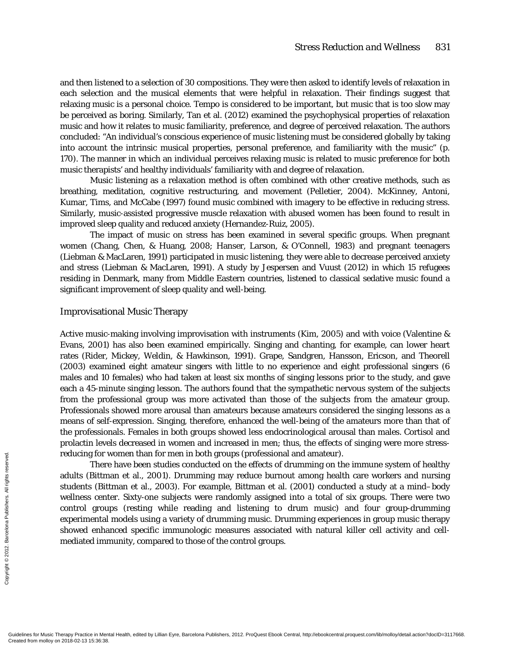and then listened to a selection of 30 compositions. They were then asked to identify levels of relaxation in each selection and the musical elements that were helpful in relaxation. Their findings suggest that relaxing music is a personal choice. Tempo is considered to be important, but music that is too slow may be perceived as boring. Similarly, Tan et al. (2012) examined the psychophysical properties of relaxation music and how it relates to music familiarity, preference, and degree of perceived relaxation. The authors concluded: "An individual's conscious experience of music listening must be considered globally by taking into account the intrinsic musical properties, personal preference, and familiarity with the music" (p. 170). The manner in which an individual perceives relaxing music is related to music preference for both music therapists' and healthy individuals' familiarity with and degree of relaxation.

Music listening as a relaxation method is often combined with other creative methods, such as breathing, meditation, cognitive restructuring, and movement (Pelletier, 2004). McKinney, Antoni, Kumar, Tims, and McCabe (1997) found music combined with imagery to be effective in reducing stress. Similarly, music-assisted progressive muscle relaxation with abused women has been found to result in improved sleep quality and reduced anxiety (Hernandez-Ruiz, 2005).

The impact of music on stress has been examined in several specific groups. When pregnant women (Chang, Chen, & Huang, 2008; Hanser, Larson, & O'Connell, 1983) and pregnant teenagers (Liebman & MacLaren, 1991) participated in music listening, they were able to decrease perceived anxiety and stress (Liebman & MacLaren, 1991). A study by Jespersen and Vuust (2012) in which 15 refugees residing in Denmark, many from Middle Eastern countries, listened to classical sedative music found a significant improvement of sleep quality and well-being.

#### Improvisational Music Therapy

Active music-making involving improvisation with instruments (Kim, 2005) and with voice (Valentine & Evans, 2001) has also been examined empirically. Singing and chanting, for example, can lower heart rates (Rider, Mickey, Weldin, & Hawkinson, 1991). Grape, Sandgren, Hansson, Ericson, and Theorell (2003) examined eight amateur singers with little to no experience and eight professional singers (6 males and 10 females) who had taken at least six months of singing lessons prior to the study, and gave each a 45-minute singing lesson. The authors found that the sympathetic nervous system of the subjects from the professional group was more activated than those of the subjects from the amateur group. Professionals showed more arousal than amateurs because amateurs considered the singing lessons as a means of self-expression. Singing, therefore, enhanced the well-being of the amateurs more than that of the professionals. Females in both groups showed less endocrinological arousal than males. Cortisol and prolactin levels decreased in women and increased in men; thus, the effects of singing were more stressreducing for women than for men in both groups (professional and amateur).

There have been studies conducted on the effects of drumming on the immune system of healthy adults (Bittman et al., 2001). Drumming may reduce burnout among health care workers and nursing students (Bittman et al., 2003). For example, Bittman et al. (2001) conducted a study at a mind–body wellness center. Sixty-one subjects were randomly assigned into a total of six groups. There were two control groups (resting while reading and listening to drum music) and four group-drumming experimental models using a variety of drumming music. Drumming experiences in group music therapy showed enhanced specific immunologic measures associated with natural killer cell activity and cellmediated immunity, compared to those of the control groups. Feducing for Windows<br>
Free adults (Bittm<br>
students (Bittm<br>
students (Bittm<br>
wellness cent<br>
control grou<br>
experimental<br>
showed enha<br>
mediated imm<br>
andiated imm<br>
created from molloy on 2018-02-13 15:36:38.<br>
Coudelines for Mu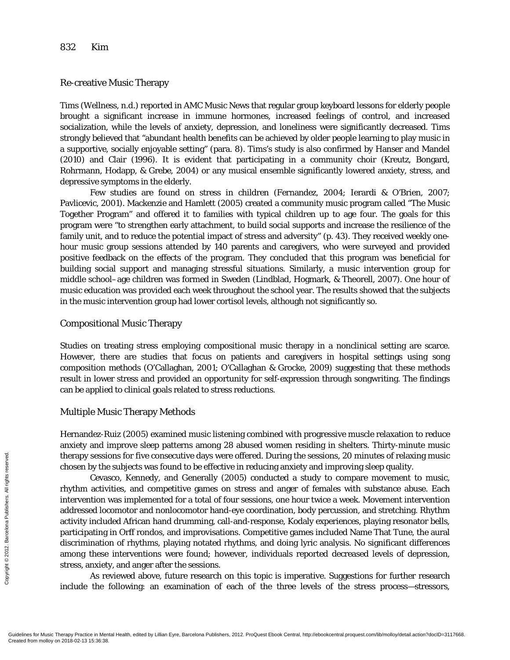# Re-creative Music Therapy

Tims (Wellness, n.d.) reported in AMC Music News that regular group keyboard lessons for elderly people brought a significant increase in immune hormones, increased feelings of control, and increased socialization, while the levels of anxiety, depression, and loneliness were significantly decreased. Tims strongly believed that "abundant health benefits can be achieved by older people learning to play music in a supportive, socially enjoyable setting" (para. 8). Tims's study is also confirmed by Hanser and Mandel (2010) and Clair (1996). It is evident that participating in a community choir (Kreutz, Bongard, Rohrmann, Hodapp, & Grebe, 2004) or any musical ensemble significantly lowered anxiety, stress, and depressive symptoms in the elderly.

Few studies are found on stress in children (Fernandez, 2004; Ierardi & O'Brien, 2007; Pavlicevic, 2001). Mackenzie and Hamlett (2005) created a community music program called "The Music Together Program" and offered it to families with typical children up to age four. The goals for this program were "to strengthen early attachment, to build social supports and increase the resilience of the family unit, and to reduce the potential impact of stress and adversity" (p. 43). They received weekly onehour music group sessions attended by 140 parents and caregivers, who were surveyed and provided positive feedback on the effects of the program. They concluded that this program was beneficial for building social support and managing stressful situations. Similarly, a music intervention group for middle school–age children was formed in Sweden (Lindblad, Hogmark, & Theorell, 2007). One hour of music education was provided each week throughout the school year. The results showed that the subjects in the music intervention group had lower cortisol levels, although not significantly so.

# Compositional Music Therapy

Studies on treating stress employing compositional music therapy in a nonclinical setting are scarce. However, there are studies that focus on patients and caregivers in hospital settings using song composition methods (O'Callaghan, 2001; O'Callaghan & Grocke, 2009) suggesting that these methods result in lower stress and provided an opportunity for self-expression through songwriting. The findings can be applied to clinical goals related to stress reductions.

# Multiple Music Therapy Methods

Hernandez-Ruiz (2005) examined music listening combined with progressive muscle relaxation to reduce anxiety and improve sleep patterns among 28 abused women residing in shelters. Thirty-minute music therapy sessions for five consecutive days were offered. During the sessions, 20 minutes of relaxing music chosen by the subjects was found to be effective in reducing anxiety and improving sleep quality.

Cevasco, Kennedy, and Generally (2005) conducted a study to compare movement to music, rhythm activities, and competitive games on stress and anger of females with substance abuse. Each intervention was implemented for a total of four sessions, one hour twice a week. Movement intervention addressed locomotor and nonlocomotor hand-eye coordination, body percussion, and stretching. Rhythm activity included African hand drumming, call-and-response, Kodaly experiences, playing resonator bells, participating in Orff rondos, and improvisations. Competitive games included Name That Tune, the aural discrimination of rhythms, playing notated rhythms, and doing lyric analysis. No significant differences among these interventions were found; however, individuals reported decreased levels of depression, stress, anxiety, and anger after the sessions. Exercise the<br>
Exercise the Cevas rhythm activity include Cevas rhythm activity intervention<br>
intervention valid and the served from the participating<br>
discrimination<br>
all reserved. All reserved from the participating<br>  $\frac{$ 

As reviewed above, future research on this topic is imperative. Suggestions for further research include the following: an examination of each of the three levels of the stress process—stressors,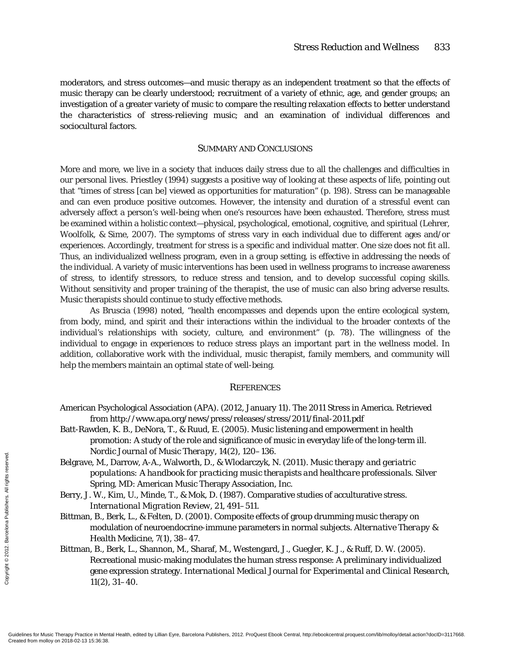moderators, and stress outcomes—and music therapy as an independent treatment so that the effects of music therapy can be clearly understood; recruitment of a variety of ethnic, age, and gender groups; an investigation of a greater variety of music to compare the resulting relaxation effects to better understand the characteristics of stress-relieving music; and an examination of individual differences and sociocultural factors.

# SUMMARY AND CONCLUSIONS

More and more, we live in a society that induces daily stress due to all the challenges and difficulties in our personal lives. Priestley (1994) suggests a positive way of looking at these aspects of life, pointing out that "times of stress [can be] viewed as opportunities for maturation" (p. 198). Stress can be manageable and can even produce positive outcomes. However, the intensity and duration of a stressful event can adversely affect a person's well-being when one's resources have been exhausted. Therefore, stress must be examined within a holistic context—physical, psychological, emotional, cognitive, and spiritual (Lehrer, Woolfolk, & Sime, 2007). The symptoms of stress vary in each individual due to different ages and/or experiences. Accordingly, treatment for stress is a specific and individual matter. *One size does not fit all*. Thus, an individualized wellness program, even in a group setting, is effective in addressing the needs of the individual. A variety of music interventions has been used in wellness programs to increase awareness of stress, to identify stressors, to reduce stress and tension, and to develop successful coping skills. Without sensitivity and proper training of the therapist, the use of music can also bring adverse results. Music therapists should continue to study effective methods.

As Bruscia (1998) noted, "health encompasses and depends upon the entire ecological system, from body, mind, and spirit and their interactions within the individual to the broader contexts of the individual's relationships with society, culture, and environment" (p. 78). The willingness of the individual to engage in experiences to reduce stress plays an important part in the wellness model. In addition, collaborative work with the individual, music therapist, family members, and community will help the members maintain an optimal state of well-being.

#### **REFERENCES**

- American Psychological Association (APA). (2012, January 11). The 2011 Stress in America. Retrieved from http://www.apa.org/news/press/releases/stress/2011/final-2011.pdf
- Batt-Rawden, K. B., DeNora, T., & Ruud, E. (2005). Music listening and empowerment in health promotion: A study of the role and significance of music in everyday life of the long-term ill. *Nordic Journal of Music Therapy, 14*(2), 120–136.
- Belgrave, M., Darrow, A-A., Walworth, D., & Wlodarczyk, N. (2011). *Music therapy and geriatric populations: A handbook for practicing music therapists and healthcare professionals.* Silver Spring, MD: American Music Therapy Association, Inc.

Berry, J. W., Kim, U., Minde, T., & Mok, D. (1987). Comparative studies of acculturative stress. *International Migration Review, 21,* 491–511.

- Bittman, B., Berk, L., & Felten, D. (2001). Composite effects of group drumming music therapy on modulation of neuroendocrine-immune parameters in normal subjects. *Alternative Therapy & Health Medicine, 7*(1), 38–47.
- Bittman, B., Berk, L., Shannon, M., Sharaf, M., Westengard, J., Guegler, K. J., & Ruff, D. W. (2005). Recreational music-making modulates the human stress response: A preliminary individualized gene expression strategy. *International Medical Journal for Experimental and Clinical Research, 11*(2), 31–40. Exerces and Mollow Selegrave, M., popul<br>
Sprin Berry, J. W., 1<br>
Inter Bittman, B., Imodu<br>
Sensing Berry, J. W., 1<br>
Exerces Barcelona Publishers. All Real Richman, B., Imodu<br>
Sensing Berry Practice in Men<br>
Created from moll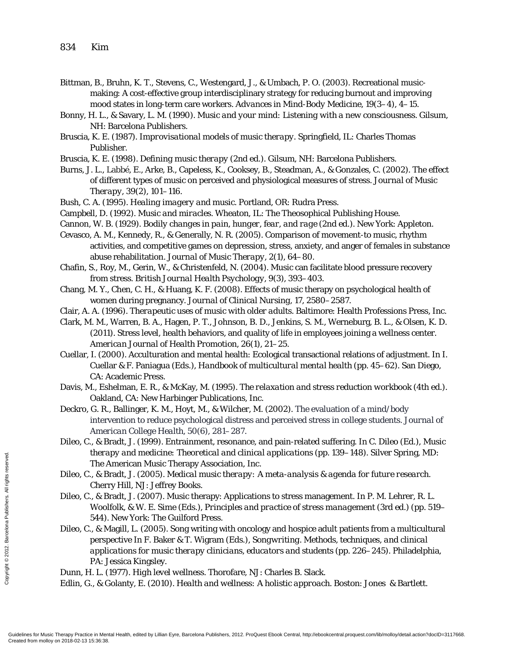- Bittman, B., Bruhn, K. T., Stevens, C., Westengard, J., & Umbach, P. O. (2003). Recreational musicmaking: A cost-effective group interdisciplinary strategy for reducing burnout and improving mood states in long-term care workers. *Advances in Mind-Body Medicine, 19*(3–4), 4–15.
- Bonny, H. L., & Savary, L. M. (1990). *Music and your mind: Listening with a new consciousness*. Gilsum, NH: Barcelona Publishers.
- Bruscia, K. E. (1987). *Improvisational models of music therapy.* Springfield, IL: Charles Thomas Publisher.
- Bruscia, K. E. (1998). *Defining music therapy* (2nd ed.). Gilsum, NH: Barcelona Publishers.
- Burns, J. L., Labbé, E., Arke, B., Capeless, K., Cooksey, B., Steadman, A., & Gonzales, C. (2002). The effect of different types of music on perceived and physiological measures of stress. *Journal of Music Therapy, 39*(2), 101–116.
- Bush, C. A. (1995). *Healing imagery and music.* Portland, OR: Rudra Press.
- Campbell, D. (1992). *Music and miracles*. Wheaton, IL: The Theosophical Publishing House.
- Cannon, W. B. (1929). *Bodily changes in pain, hunger, fear, and rage* (2nd ed.). New York: Appleton.
- Cevasco, A. M., Kennedy, R., & Generally, N. R. (2005). Comparison of movement-to music, rhythm activities, and competitive games on depression, stress, anxiety, and anger of females in substance abuse rehabilitation. *Journal of Music Therapy, 2*(1), 64–80.
- Chafin, S., Roy, M., Gerin, W., & Christenfeld, N. (2004). Music can facilitate blood pressure recovery from stress. *British Journal Health Psychology, 9*(3), 393–403.
- Chang, M. Y., Chen, C. H., & Huang, K. F. (2008). Effects of music therapy on psychological health of women during pregnancy. *Journal of Clinical Nursing, 17,* 2580–2587.
- Clair, A. A. (1996). *Therapeutic uses of music with older adults*. Baltimore: Health Professions Press, Inc.
- Clark, M. M., Warren, B. A., Hagen, P. T., Johnson, B. D., Jenkins, S. M., Werneburg, B. L., & Olsen, K. D. (2011). Stress level, health behaviors, and quality of life in employees joining a wellness center. *American Journal of Health Promotion, 26*(1), 21–25.
- Cuellar, I. (2000). Acculturation and mental health: Ecological transactional relations of adjustment. In I. Cuellar & F. Paniagua (Eds.), *Handbook of multicultural mental health* (pp. 45–62). San Diego, CA: Academic Press.
- Davis, M., Eshelman, E. R., & McKay, M. (1995). *The relaxation and stress reduction workbook* (4th ed.). Oakland, CA: New Harbinger Publications, Inc.
- Deckro, G. R., Ballinger, K. M., Hoyt, M., & Wilcher, M. (2002). The evaluation of a mind/body intervention to reduce psychological distress and perceived stress in college students. *Journal of American College Health, 50*(6), 281–287.
- Dileo, C., & Bradt, J. (1999). Entrainment, resonance, and pain-related suffering. In C. Dileo (Ed.), *Music therapy and medicine: Theoretical and clinical applications* (pp. 139–148). Silver Spring, MD: The American Music Therapy Association, Inc.
- Dileo, C., & Bradt, J. (2005). *Medical music therapy: A meta-analysis & agenda for future research.* Cherry Hill, NJ: Jeffrey Books.
- Dileo, C., & Bradt, J. (2007). Music therapy: Applications to stress management. In P. M. Lehrer, R. L. Woolfolk, & W. E. Sime (Eds.), *Principles and practice of stress management* (3rd ed.) (pp. 519– 544). New York: The Guilford Press.
- Dileo, C., & Magill, L. (2005). Song writing with oncology and hospice adult patients from a multicultural perspective In F. Baker & T. Wigram (Eds.), *Songwriting. Methods, techniques, and clinical applications for music therapy clinicians, educators and students* (pp. 226–245). Philadelphia, PA: Jessica Kingsley. Created from molloy on 2018-02-13 15:36:38. Copyright © 2012. Barcelona Publishers. All rights reserved.

Dunn, H. L. (1977). *High level wellness*. Thorofare, NJ: Charles B. Slack.

Edlin, G., & Golanty, E. (2010). *Health and wellness: A holistic approach.* Boston: Jones & Bartlett.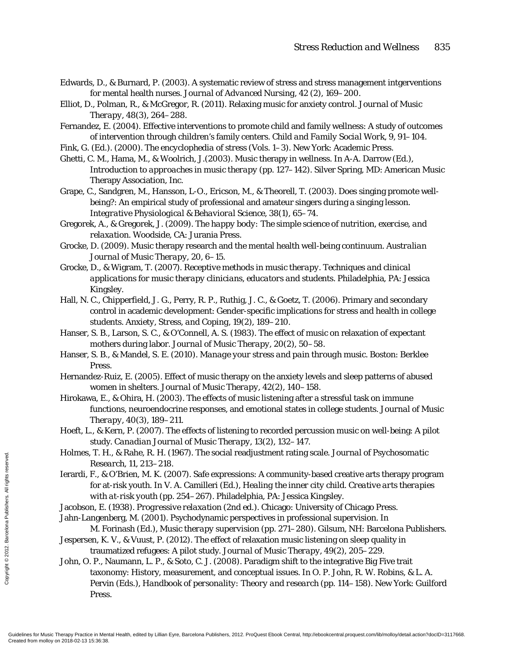- Edwards, D., & Burnard, P. (2003). A systematic review of stress and stress management intgerventions for mental health nurses. *Journal of Advanced Nursing, 42* (2), 169–200.
- Elliot, D., Polman, R., & McGregor, R. (2011). Relaxing music for anxiety control. *Journal of Music Therapy, 48*(3), 264–288.
- Fernandez, E. (2004). Effective interventions to promote child and family wellness: A study of outcomes of intervention through children's family centers. *Child and Family Social Work, 9,* 91–104.
- Fink, G. (Ed.). (2000). *The encyclophedia of stress* (Vols. 1–3). New York: Academic Press.
- Ghetti, C. M., Hama, M., & Woolrich, J.(2003). Music therapy in wellness. In A-A. Darrow (Ed.), *Introduction to approaches in music therapy* (pp. 127–142). Silver Spring, MD: American Music Therapy Association, Inc.
- Grape, C., Sandgren, M., Hansson, L-O., Ericson, M., & Theorell, T. (2003). Does singing promote wellbeing?: An empirical study of professional and amateur singers during a singing lesson. *Integrative Physiological & Behavioral Science, 38*(1), 65–74.
- Gregorek, A., & Gregorek, J. (2009). *The happy body: The simple science of nutrition, exercise, and relaxation*. Woodside, CA: Jurania Press.
- Grocke, D. (2009). Music therapy research and the mental health well-being continuum. *Australian Journal of Music Therapy*, *20,* 6–15.
- Grocke, D., & Wigram, T. (2007). *Receptive methods in music therapy. Techniques and clinical applications for music therapy clinicians, educators and students.* Philadelphia, PA: Jessica Kingsley.
- Hall, N. C., Chipperfield, J. G., Perry, R. P., Ruthig, J. C., & Goetz, T. (2006). Primary and secondary control in academic development: Gender-specific implications for stress and health in college students. *Anxiety, Stress, and Coping, 19*(2), 189–210.
- Hanser, S. B., Larson, S. C., & O'Connell, A. S. (1983). The effect of music on relaxation of expectant mothers during labor. *Journal of Music Therapy, 20*(2), 50–58.
- Hanser, S. B., & Mandel, S. E. (2010). *Manage your stress and pain through music*. Boston: Berklee Press.
- Hernandez-Ruiz, E. (2005). Effect of music therapy on the anxiety levels and sleep patterns of abused women in shelters. *Journal of Music Therapy, 42*(2), 140–158.
- Hirokawa, E., & Ohira, H. (2003). The effects of music listening after a stressful task on immune functions, neuroendocrine responses, and emotional states in college students. *Journal of Music Therapy, 40*(3), 189–211.
- Hoeft, L., & Kern, P. (2007). The effects of listening to recorded percussion music on well-being: A pilot study. *Canadian Journal of Music Therapy, 13*(2), 132–147.
- Holmes, T. H., & Rahe, R. H. (1967). The social readjustment rating scale. *Journal of Psychosomatic Research, 11,* 213–218.
- Ierardi, F., & O'Brien, M. K. (2007). Safe expressions: A community-based creative arts therapy program for at-risk youth. In V. A. Camilleri (Ed.), *Healing the inner city child. Creative arts therapies with at-risk youth* (pp. 254–267). Philadelphia, PA: Jessica Kingsley.
- Jacobson, E. (1938). *Progressive relaxation* (2nd ed.). Chicago: University of Chicago Press.
- Jahn-Langenberg, M. (2001). Psychodynamic perspectives in professional supervision. In
- M. Forinash (Ed.), *Music therapy supervision* (pp. 271–280). Gilsum, NH: Barcelona Publishers. Jespersen, K. V., & Vuust, P. (2012). The effect of relaxation music listening on sleep quality in
	- traumatized refugees: A pilot study. *Journal of Music Therapy, 49*(2), 205–229.
- John, O. P., Naumann, L. P., & Soto, C. J. (2008). Paradigm shift to the integrative Big Five trait taxonomy: History, measurement, and conceptual issues. In O. P. John, R. W. Robins, & L. A. Pervin (Eds.), *Handbook of personality: Theory and research* (pp. 114–158). New York: Guilford Press. From M. F., &<br>
From Reserved.<br>
From M. Reserved.<br>
For at with Jacobson, E.<br>
Jahn-Langen M. For Jespersen, K.<br>
Engage Barcelona Publishers. All rights reserved.<br>
Since Barcelona Publishers.<br>
Contated from molloy on 2018-02-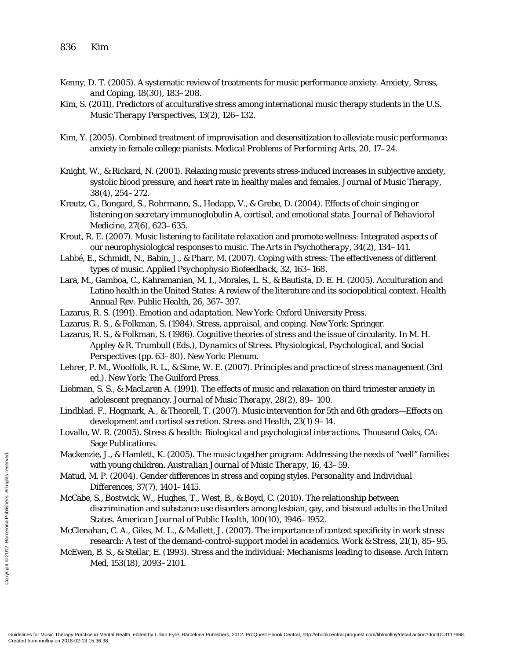- Kenny, D. T. (2005). A systematic review of treatments for music performance anxiety. *Anxiety, Stress, and Coping*, *18*(30), 183–208.
- Kim, S. (2011). Predictors of acculturative stress among international music therapy students in the U.S. *Music Therapy Perspectives, 13*(2), 126–132.
- Kim, Y. (2005). Combined treatment of improvisation and desensitization to alleviate music performance anxiety in female college pianists. *Medical Problems of Performing Arts, 20,* 17–24.
- Knight, W., & Rickard, N. (2001). Relaxing music prevents stress-induced increases in subjective anxiety, systolic blood pressure, and heart rate in healthy males and females. *Journal of Music Therapy, 38*(4), 254–272.
- Kreutz, G., Bongard, S., Rohrmann, S., Hodapp, V., & Grebe, D. (2004). Effects of choir singing or listening on secretary immunoglobulin A, cortisol, and emotional state. *Journal of Behavioral Medicine, 27*(6), 623–635.
- Krout, R. E. (2007). Music listening to facilitate relaxation and promote wellness: Integrated aspects of our neurophysiological responses to music. *The Arts in Psychotherapy, 34*(2), 134–141.
- Labbé, E., Schmidt, N., Babin, J., & Pharr, M. (2007). Coping with stress: The effectiveness of different types of music. *Applied Psychophysio Biofeedback, 32,* 163–168.
- Lara, M., Gamboa, C., Kahramanian, M. I., Morales, L. S., & Bautista, D. E. H. (2005). Acculturation and Latino health in the United States: A review of the literature and its sociopolitical context. *Health Annual Rev. Public Health, 26,* 367–397.
- Lazarus, R. S. (1991). *Emotion and adaptation*. New York: Oxford University Press.
- Lazarus, R. S., & Folkman, S. (1984). *Stress, appraisal, and coping*. New York: Springer.
- Lazarus, R. S., & Folkman, S. (1986). Cognitive theories of stress and the issue of circularity. In M. H. Appley & R. Trumbull (Eds.), *Dynamics of Stress. Physiological, Psychological, and Social Perspectives* (pp. 63–80). New York: Plenum.
- Lehrer, P. M., Woolfolk, R. L., & Sime, W. E. (2007). *Principles and practice of stress management* (3rd ed.). New York: The Guilford Press.
- Liebman, S. S., & MacLaren A. (1991). The effects of music and relaxation on third trimester anxiety in adolescent pregnancy. *Journal of Music Therapy, 28*(2), 89– 100.
- Lindblad, F., Hogmark, A., & Theorell, T. (2007). Music intervention for 5th and 6th graders—Effects on development and cortisol secretion. *Stress and Health, 23*(1) 9–14.
- Lovallo, W. R. (2005). *Stress & health: Biological and psychological interactions.* Thousand Oaks, CA: Sage Publications.
- Mackenzie, J., & Hamlett, K. (2005). The music together program: Addressing the needs of "well" families with young children. *Australian Journal of Music Therapy, 16,* 43–59.
- Matud, M. P. (2004). Gender differences in stress and coping styles. *Personality and Individual Differences, 37*(7), 1401–1415.
- McCabe, S., Bostwick, W., Hughes, T., West, B., & Boyd, C. (2010). The relationship between discrimination and substance use disorders among lesbian, gay, and bisexual adults in the United States. *American Journal of Public Health, 100*(10), 1946–1952. Mackenzie, J.<br>
with with Matud, M. P.<br>
Matud, M. P.<br>
Diffe.<br>
McCabe, S., B<br>
discriments reserved.<br>
State:<br>
McClenahan, resea<br>
McClenahan, resea<br>
McCwen, B. S<br>
Med,<br>
Guidelines for Music Therapy Practice in Men<br>
Created fro

McClenahan, C. A., Giles, M. L., & Mallett, J. (2007). The importance of context specificity in work stress research: A test of the demand-control-support model in academics. *Work & Stress, 21*(1), 85–95.

McEwen, B. S., & Stellar, E. (1993). Stress and the individual: Mechanisms leading to disease. *Arch Intern Med, 153*(18), 2093–2101.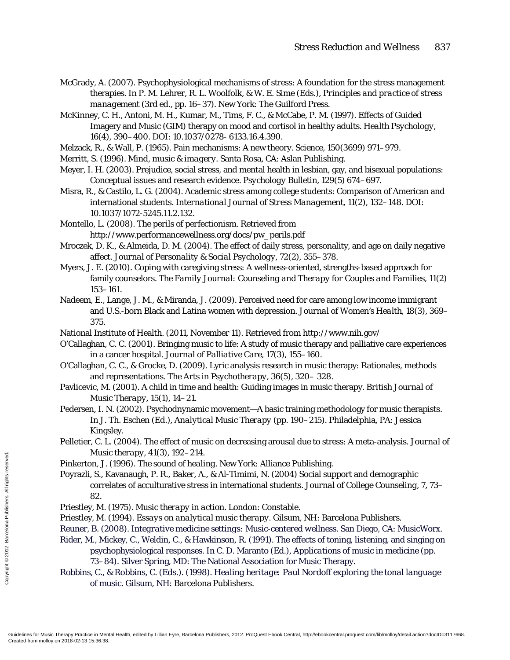- McGrady, A. (2007). Psychophysiological mechanisms of stress: A foundation for the stress management therapies. In P. M. Lehrer, R. L. Woolfolk, & W. E. Sime (Eds.), *Principles and practice of stress management* (3rd ed., pp. 16–37). New York: The Guilford Press.
- McKinney, C. H., Antoni, M. H., Kumar, M., Tims, F. C., & McCabe, P. M. (1997). Effects of Guided Imagery and Music (GIM) therapy on mood and cortisol in healthy adults. *Health Psychology*, *16*(4), 390–400. DOI: 10.1037/0278- 6133.16.4.390.
- Melzack, R., & Wall, P. (1965). Pain mechanisms: A new theory. *Science, 150*(3699) 971–979.
- Merritt, S. (1996). *Mind, music & imagery.* Santa Rosa, CA: Aslan Publishing.
- Meyer, I. H. (2003). Prejudice, social stress, and mental health in lesbian, gay, and bisexual populations: Conceptual issues and research evidence. *Psychology Bulletin, 129*(5) 674–697.
- Misra, R., & Castilo, L. G. (2004). Academic stress among college students: Comparison of American and international students. *International Journal of Stress Management, 11*(2), 132–148. DOI: 10.1037/1072-5245.11.2.132.
- Montello, L. (2008). *The perils of perfectionism.* Retrieved from http://www.performancewellness.org/docs/pw\_perils.pdf
- Mroczek, D. K., & Almeida, D. M. (2004). The effect of daily stress, personality, and age on daily negative affect. *Journal of Personality & Social Psychology, 72*(2), 355–378.
- Myers, J. E. (2010). Coping with caregiving stress: A wellness-oriented, strengths-based approach for family counselors. *The Family Journal: Counseling and Therapy for Couples and Families, 11*(2) 153–161.
- Nadeem, E., Lange, J. M., & Miranda, J. (2009). Perceived need for care among low income immigrant and U.S.-born Black and Latina women with depression. *Journal of Women's Health, 18*(3), 369– 375.
- National Institute of Health. (2011, November 11). Retrieved from http://www.nih.gov/
- O'Callaghan, C. C. (2001). Bringing music to life: A study of music therapy and palliative care experiences in a cancer hospital. *Journal of Palliative Care, 17(*3), 155–160.
- O'Callaghan, C. C., & Grocke, D. (2009). Lyric analysis research in music therapy: Rationales, methods and representations. *The Arts in Psychotherapy, 36*(5), 320– 328.
- Pavlicevic, M. (2001). A child in time and health: Guiding images in music therapy. *British Journal of Music Therapy, 15*(1), 14–21.
- Pedersen, I. N. (2002). Psychodnynamic movement—A basic training methodology for music therapists. In J. Th. Eschen (Ed.), *Analytical Music Therapy* (pp. 190–215). Philadelphia, PA: Jessica Kingsley.
- Pelletier, C. L. (2004). The effect of music on decreasing arousal due to stress: A meta-analysis. *Journal of Music therapy, 41*(3), 192–214.
- Pinkerton, J. (1996). *The sound of healing.* New York: Alliance Publishing.
- Poyrazli, S., Kavanaugh, P. R., Baker, A., & Al-Timimi, N. (2004) Social support and demographic correlates of acculturative stress in international students. *Journal of College Counseling, 7,* 73– 82.
- Priestley, M. (1975). *Music therapy in action.* London: Constable.
- Priestley, M. (1994). *Essays on analytical music therapy*. Gilsum, NH: Barcelona Publishers.
- Reuner, B. (2008). *Integrative medicine settings: Music-centered wellness*. San Diego, CA: MusicWorx.
- Rider, M., Mickey, C., Weldin, C., & Hawkinson, R. (1991). The effects of toning, listening, and singing on psychophysiological responses. In C. D. Maranto (Ed.), *Applications of music in medicine* (pp. 73–84). Silver Spring, MD: The National Association for Music Therapy. Friestley, M. (Music<br>
Finkerton, J. Poyrazli, S., Koreated<br>
Sandara Priestley, M. (Priestley, M. Priestley, M. Priestley, M. Priestley, M. Priestley, M. (Reuner, B. (2012)<br>
Reuner, B. (2012)<br>
Rider, M., Minney System of Mu
	- Robbins, C., & Robbins, C. (Eds.). (1998). *Healing heritage: Paul Nordoff exploring the tonal language of music.* Gilsum, NH: Barcelona Publishers.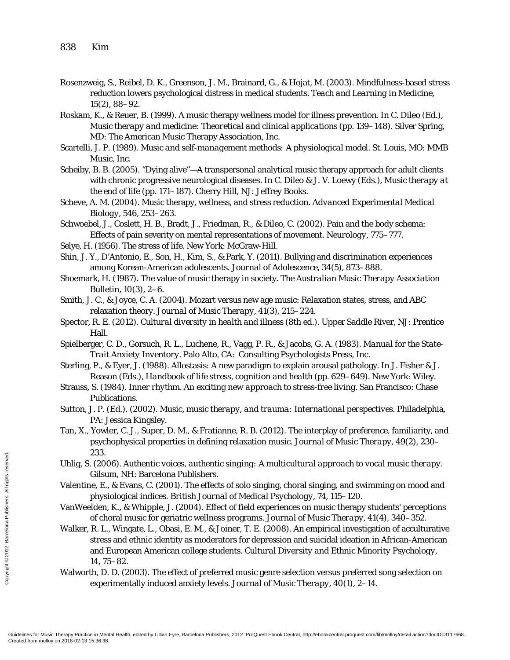- Rosenzweig, S., Reibel, D. K., Greenson, J. M., Brainard, G., & Hojat, M. (2003). Mindfulness-based stress reduction lowers psychological distress in medical students. *Teach and Learning in Medicine, 15*(2), 88–92.
- Roskam, K., & Reuer, B. (1999). A music therapy wellness model for illness prevention. In C. Dileo (Ed.), *Music therapy and medicine: Theoretical and clinical applications* (pp. 139–148). Silver Spring, MD: The American Music Therapy Association, Inc.
- Scartelli, J. P. (1989). *Music and self-management methods: A physiological model.* St. Louis, MO: MMB Music, Inc.
- Scheiby, B. B. (2005). "Dying alive"—A transpersonal analytical music therapy approach for adult clients with chronic progressive neurological diseases. In C. Dileo & J. V. Loewy (Eds.), *Music therapy at the end of life* (pp. 171–187)*.* Cherry Hill, NJ: Jeffrey Books.
- Scheve, A. M. (2004). Music therapy, wellness, and stress reduction. *Advanced Experimental Medical Biology, 546*, 253–263.
- Schwoebel, J., Coslett, H. B., Bradt, J., Friedman, R., & Dileo, C. (2002). Pain and the body schema: Effects of pain severity on mental representations of movement. *Neurology,* 775–777.
- Selye, H. (1956). *The stress of life*. New York: McGraw-Hill.
- Shin, J. Y., D'Antonio, E., Son, H., Kim, S., & Park, Y. (2011). Bullying and discrimination experiences among Korean-American adolescents. *Journal of Adolescence, 34*(5), 873–888.
- Shoemark, H. (1987). The value of music therapy in society. *The Australian Music Therapy Association Bulletin, 10*(3), 2–6.
- Smith, J. C., & Joyce, C. A. (2004). Mozart versus new age music: Relaxation states, stress, and ABC relaxation theory. *Journal of Music Therapy, 41*(3), 215–224.
- Spector, R. E. (2012). *Cultural diversity in health and illness* (8th ed.). Upper Saddle River, NJ: Prentice Hall.
- Spielberger, C. D., Gorsuch, R. L., Luchene, R., Vagg, P. R., & Jacobs, G. A. (1983). *Manual for the State-Trait Anxiety Inventory*. Palo Alto, CA: Consulting Psychologists Press, Inc.
- Sterling, P., & Eyer, J. (1988). Allostasis: A new paradigm to explain arousal pathology. In J. Fisher & J. Reason (Eds.), *Handbook of life stress, cognition and health* (pp. 629–649). New York: Wiley.
- Strauss, S. (1984). *Inner rhythm. An exciting new approach to stress-free living*. San Francisco: Chase Publications.
- Sutton, J. P. (Ed.). (2002). *Music, music therapy, and trauma: International perspectives.* Philadelphia, PA: Jessica Kingsley.
- Tan, X., Yowler, C. J., Super, D. M., & Fratianne, R. B. (2012). The interplay of preference, familiarity, and psychophysical properties in defining relaxation music. *Journal of Music Therapy, 49*(2), 230– 233.
- Uhlig, S. (2006). *Authentic voices, authentic singing: A multicultural approach to vocal music therapy.* Gilsum, NH: Barcelona Publishers.
- Valentine, E., & Evans, C. (2001). The effects of solo singing, choral singing, and swimming on mood and physiological indices. *British Journal of Medical Psychology, 74*, 115–120.
- VanWeelden, K., & Whipple, J. (2004). Effect of field experiences on music therapy students' perceptions of choral music for geriatric wellness programs. *Journal of Music Therapy, 41*(4), 340–352.
- Walker, R. L., Wingate, L., Obasi, E. M., & Joiner, T. E. (2008). An empirical investigation of acculturative stress and ethnic identity as moderators for depression and suicidal ideation in African-American and European American college students. *Cultural Diversity and Ethnic Minority Psychology, 14,* 75–82. CREATE CREATE CONTROLL CONTROLL CONTROLL CONTROLL CONTROLL CONTROLL CONTROLL CONTROLL CONTROLL CONTROLL CONTROLL CONTROLL CONTROLL CONTROLL CONTROLL CONTROLL CONTROLL CONTROLL CONTROLL CONTROLL CONTROLL CONTROLL CONTROLL C
	- Walworth, D. D. (2003). The effect of preferred music genre selection versus preferred song selection on experimentally induced anxiety levels. *Journal of Music Therapy, 40*(1), 2–14.